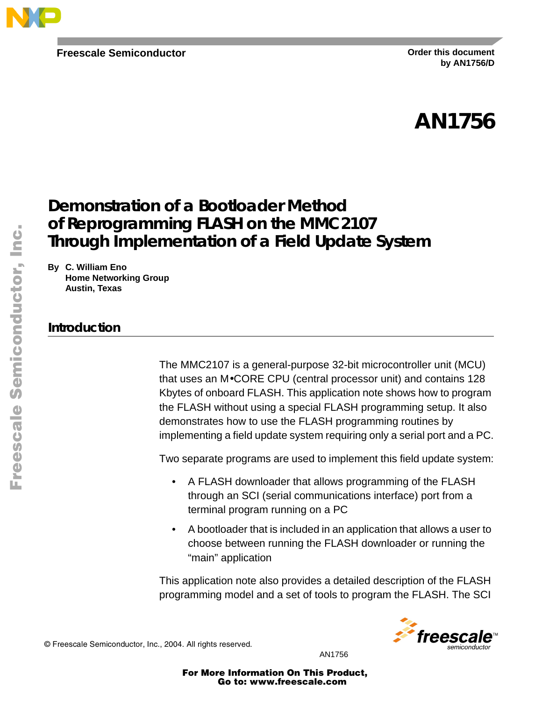

**Freescale Semiconductor**

**Order this document by AN1756/D**

# **AN1756**

# **Demonstration of a Bootloader Method of Reprogramming FLASH on the MMC2107 Through Implementation of a Field Update System**

**By C. William Eno Home Networking Group Austin, Texas**

### **Introduction**

The MMC2107 is a general-purpose 32-bit microcontroller unit (MCU) that uses an M•CORE CPU (central processor unit) and contains 128 Kbytes of onboard FLASH. This application note shows how to program the FLASH without using a special FLASH programming setup. It also demonstrates how to use the FLASH programming routines by implementing a field update system requiring only a serial port and a PC.

Two separate programs are used to implement this field update system:

- A FLASH downloader that allows programming of the FLASH through an SCI (serial communications interface) port from a terminal program running on a PC
- A bootloader that is included in an application that allows a user to choose between running the FLASH downloader or running the "main" application

This application note also provides a detailed description of the FLASH programming model and a set of tools to program the FLASH. The SCI



© Freescale Semiconductor, Inc., 2004. All rights reserved.

AN1756

For More Information On This Product, Go to: www.freescale.com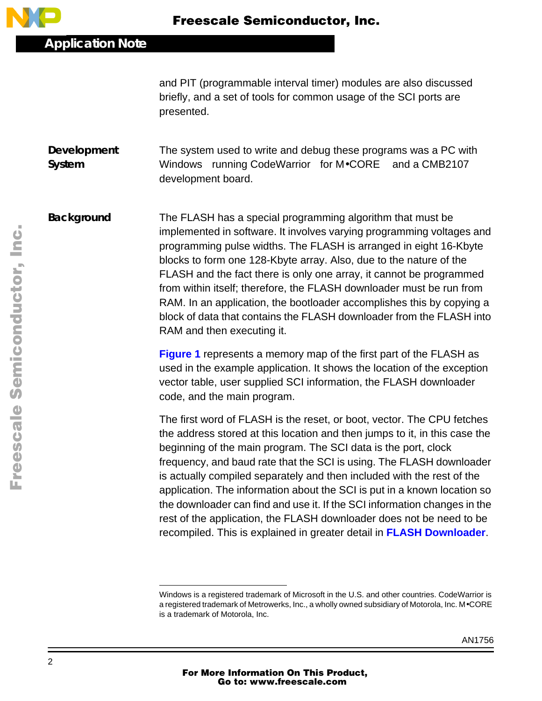

and PIT (programmable interval timer) modules are also discussed briefly, and a set of tools for common usage of the SCI ports are presented.

**Development System** The system used to write and debug these programs was a PC with Windows<sup>®</sup> running CodeWarrior<sup>®</sup> for M•CORE<sup>TM</sup> and a CMB2107 development board.

**Background** The FLASH has a special programming algorithm that must be implemented in software. It involves varying programming voltages and programming pulse widths. The FLASH is arranged in eight 16-Kbyte blocks to form one 128-Kbyte array. Also, due to the nature of the FLASH and the fact there is only one array, it cannot be programmed from within itself; therefore, the FLASH downloader must be run from RAM. In an application, the bootloader accomplishes this by copying a block of data that contains the FLASH downloader from the FLASH into RAM and then executing it.

> **[Figure 1](#page-2-0)** represents a memory map of the first part of the FLASH as used in the example application. It shows the location of the exception vector table, user supplied SCI information, the FLASH downloader code, and the main program.

> The first word of FLASH is the reset, or boot, vector. The CPU fetches the address stored at this location and then jumps to it, in this case the beginning of the main program. The SCI data is the port, clock frequency, and baud rate that the SCI is using. The FLASH downloader is actually compiled separately and then included with the rest of the application. The information about the SCI is put in a known location so the downloader can find and use it. If the SCI information changes in the rest of the application, the FLASH downloader does not be need to be recompiled. This is explained in greater detail in **[FLASH Downloader](#page-14-0)**.

Windows is a registered trademark of Microsoft in the U.S. and other countries. CodeWarrior is a registered trademark of Metrowerks, Inc., a wholly owned subsidiary of Motorola, Inc. M•CORE is a trademark of Motorola, Inc.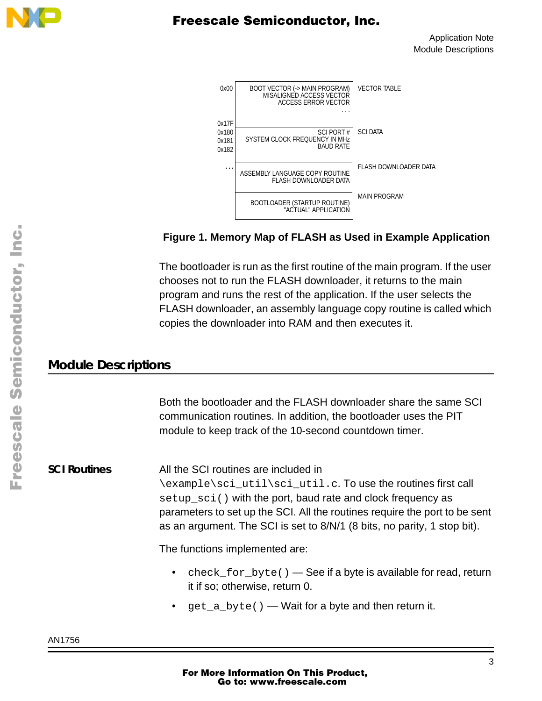<span id="page-2-0"></span>



#### **Figure 1. Memory Map of FLASH as Used in Example Application**

The bootloader is run as the first routine of the main program. If the user chooses not to run the FLASH downloader, it returns to the main program and runs the rest of the application. If the user selects the FLASH downloader, an assembly language copy routine is called which copies the downloader into RAM and then executes it.

### **Module Descriptions**

Both the bootloader and the FLASH downloader share the same SCI communication routines. In addition, the bootloader uses the PIT module to keep track of the 10-second countdown timer.

**SCI Routines** All the SCI routines are included in

\example\sci\_util\sci\_util.c. To use the routines first call setup\_sci() with the port, baud rate and clock frequency as parameters to set up the SCI. All the routines require the port to be sent as an argument. The SCI is set to 8/N/1 (8 bits, no parity, 1 stop bit).

The functions implemented are:

- $\text{check}$  for byte() See if a byte is available for read, return it if so; otherwise, return 0.
- $get_a_byte()$  Wait for a byte and then return it.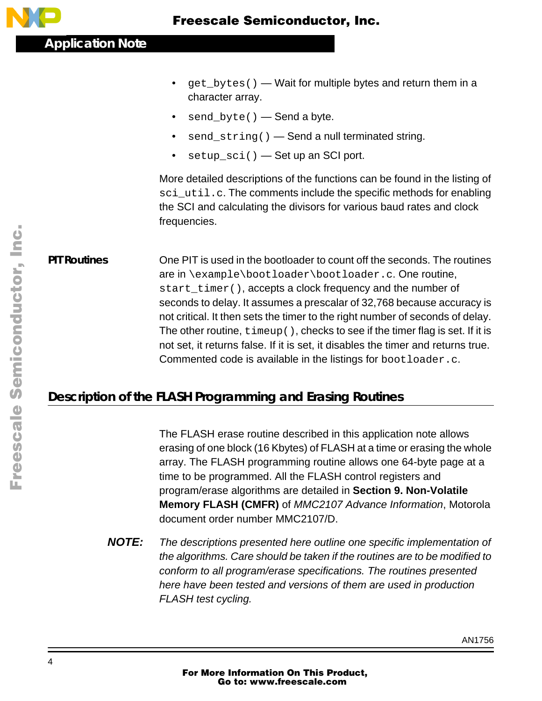

- get\_bytes() Wait for multiple bytes and return them in a character array.
- $send_b$ <sub>yte</sub>()  $-$  Send a byte.
- $send_{string( ) } -$ Send a null terminated string.
- setup\_sci() Set up an SCI port.

More detailed descriptions of the functions can be found in the listing of sci\_util.c. The comments include the specific methods for enabling the SCI and calculating the divisors for various baud rates and clock frequencies.

**PIT Routines** One PIT is used in the bootloader to count off the seconds. The routines are in \example\bootloader\bootloader.c. One routine, start timer(), accepts a clock frequency and the number of seconds to delay. It assumes a prescalar of 32,768 because accuracy is not critical. It then sets the timer to the right number of seconds of delay. The other routine, timeup(), checks to see if the timer flag is set. If it is not set, it returns false. If it is set, it disables the timer and returns true. Commented code is available in the listings for bootloader.c.

# **Description of the FLASH Programming and Erasing Routines**

The FLASH erase routine described in this application note allows erasing of one block (16 Kbytes) of FLASH at a time or erasing the whole array. The FLASH programming routine allows one 64-byte page at a time to be programmed. All the FLASH control registers and program/erase algorithms are detailed in **Section 9. Non-Volatile Memory FLASH (CMFR)** of MMC2107 Advance Information, Motorola document order number MMC2107/D.

**NOTE:** The descriptions presented here outline one specific implementation of the algorithms. Care should be taken if the routines are to be modified to conform to all program/erase specifications. The routines presented here have been tested and versions of them are used in production FLASH test cycling.

Fr $\bf \Phi$  $\bf \Phi$  $\boldsymbol{\eta}$  $\mathbf 0$ 

ale

 $\boldsymbol{g}$  $\bf \Phi$ 

mic

o n d u  $\mathbf 0$ t o

r, I

n

.<br>ق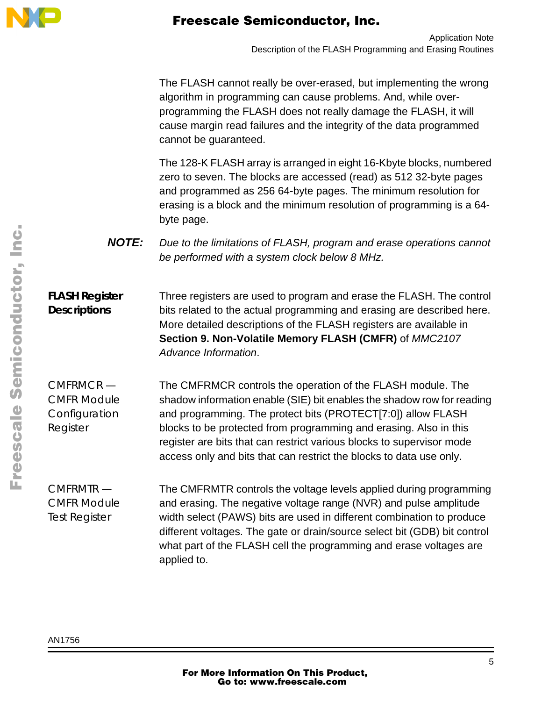

The FLASH cannot really be over-erased, but implementing the wrong algorithm in programming can cause problems. And, while overprogramming the FLASH does not really damage the FLASH, it will cause margin read failures and the integrity of the data programmed cannot be guaranteed.

The 128-K FLASH array is arranged in eight 16-Kbyte blocks, numbered zero to seven. The blocks are accessed (read) as 512 32-byte pages and programmed as 256 64-byte pages. The minimum resolution for erasing is a block and the minimum resolution of programming is a 64 byte page.

**NOTE:** Due to the limitations of FLASH, program and erase operations cannot be performed with a system clock below 8 MHz.

**FLASH Register Descriptions** Three registers are used to program and erase the FLASH. The control bits related to the actual programming and erasing are described here. More detailed descriptions of the FLASH registers are available in **Section 9. Non-Volatile Memory FLASH (CMFR)** of MMC2107 Advance Information.

*CMFRMCR — CMFR Module Configuration Register*

*CMFRMTR — CMFR Module Test Register*

The CMFRMCR controls the operation of the FLASH module. The shadow information enable (SIE) bit enables the shadow row for reading and programming. The protect bits (PROTECT[7:0]) allow FLASH blocks to be protected from programming and erasing. Also in this register are bits that can restrict various blocks to supervisor mode access only and bits that can restrict the blocks to data use only.

The CMFRMTR controls the voltage levels applied during programming and erasing. The negative voltage range (NVR) and pulse amplitude width select (PAWS) bits are used in different combination to produce different voltages. The gate or drain/source select bit (GDB) bit control what part of the FLASH cell the programming and erase voltages are applied to.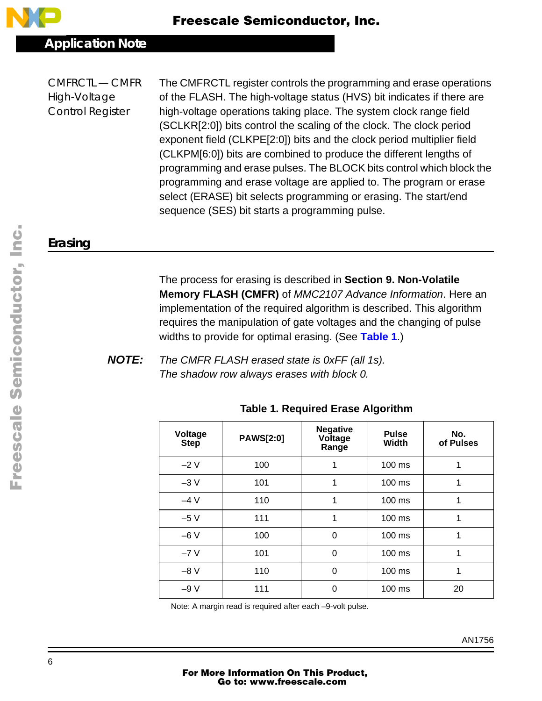<span id="page-5-0"></span>

*CMFRCTL — CMFR High-Voltage Control Register*

The CMFRCTL register controls the programming and erase operations of the FLASH. The high-voltage status (HVS) bit indicates if there are high-voltage operations taking place. The system clock range field (SCLKR[2:0]) bits control the scaling of the clock. The clock period exponent field (CLKPE[2:0]) bits and the clock period multiplier field (CLKPM[6:0]) bits are combined to produce the different lengths of programming and erase pulses. The BLOCK bits control which block the programming and erase voltage are applied to. The program or erase select (ERASE) bit selects programming or erasing. The start/end sequence (SES) bit starts a programming pulse.

### **Erasing**

The process for erasing is described in **Section 9. Non-Volatile Memory FLASH (CMFR)** of MMC2107 Advance Information. Here an implementation of the required algorithm is described. This algorithm requires the manipulation of gate voltages and the changing of pulse widths to provide for optimal erasing. (See **Table 1**.)

**NOTE:** The CMFR FLASH erased state is 0xFF (all 1s). The shadow row always erases with block 0.

| Voltage<br><b>Step</b> | <b>PAWS[2:0]</b> | <b>Negative</b><br>Voltage<br>Range | <b>Pulse</b><br><b>Width</b> | No.<br>of Pulses |
|------------------------|------------------|-------------------------------------|------------------------------|------------------|
| $-2V$                  | 100              |                                     | 100 ms                       | 1                |
| $-3V$                  | 101              | 1                                   | 100 ms                       | 1                |
| $-4V$                  | 110              | 1                                   | 100 ms                       | 1                |
| $-5V$                  | 111              | 1                                   | 100 ms                       | 1                |
| $-6V$                  | 100              | 0                                   | 100 ms                       | 1                |
| $-7V$                  | 101              | $\Omega$                            | 100 ms                       | 1                |
| $-8V$                  | 110              | $\Omega$                            | 100 ms                       | 1                |
| $-9V$                  | 111              | ∩                                   | 100 ms                       | 20               |

**Table 1. Required Erase Algorithm**

Note: A margin read is required after each –9-volt pulse.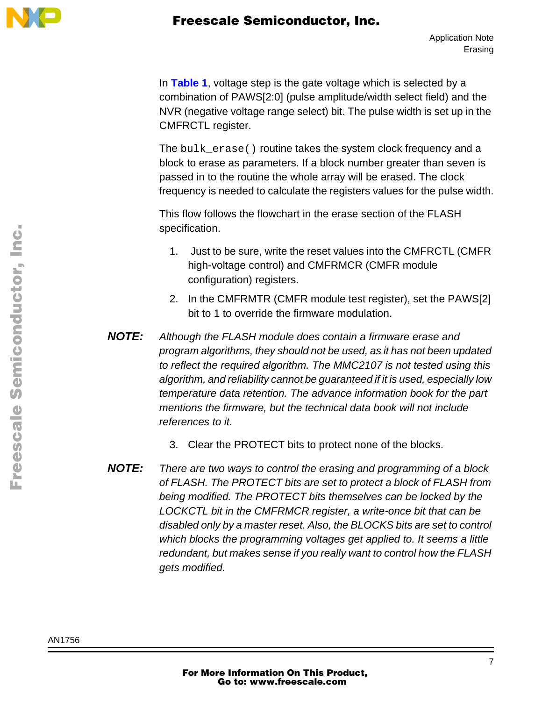

In **[Table 1](#page-5-0)**, voltage step is the gate voltage which is selected by a combination of PAWS[2:0] (pulse amplitude/width select field) and the NVR (negative voltage range select) bit. The pulse width is set up in the CMFRCTL register.

The bulk\_erase() routine takes the system clock frequency and a block to erase as parameters. If a block number greater than seven is passed in to the routine the whole array will be erased. The clock frequency is needed to calculate the registers values for the pulse width.

This flow follows the flowchart in the erase section of the FLASH specification.

- 1. Just to be sure, write the reset values into the CMFRCTL (CMFR high-voltage control) and CMFRMCR (CMFR module configuration) registers.
- 2. In the CMFRMTR (CMFR module test register), set the PAWS[2] bit to 1 to override the firmware modulation.
- **NOTE:** Although the FLASH module does contain a firmware erase and program algorithms, they should not be used, as it has not been updated to reflect the required algorithm. The MMC2107 is not tested using this algorithm, and reliability cannot be guaranteed if it is used, especially low temperature data retention. The advance information book for the part mentions the firmware, but the technical data book will not include references to it.
	- 3. Clear the PROTECT bits to protect none of the blocks.
- **NOTE:** There are two ways to control the erasing and programming of a block of FLASH. The PROTECT bits are set to protect a block of FLASH from being modified. The PROTECT bits themselves can be locked by the LOCKCTL bit in the CMFRMCR register, a write-once bit that can be disabled only by a master reset. Also, the BLOCKS bits are set to control which blocks the programming voltages get applied to. It seems a little redundant, but makes sense if you really want to control how the FLASH gets modified.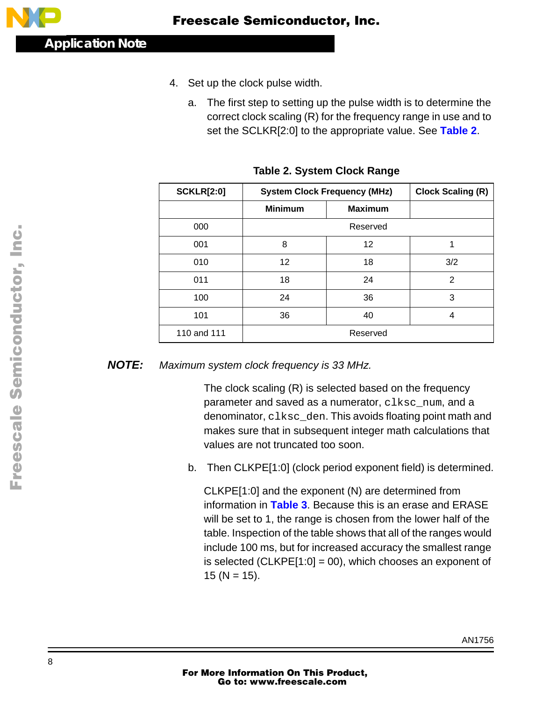- 4. Set up the clock pulse width.
	- a. The first step to setting up the pulse width is to determine the correct clock scaling (R) for the frequency range in use and to set the SCLKR[2:0] to the appropriate value. See **Table 2**.

| <b>SCKLR[2:0]</b> | <b>System Clock Frequency (MHz)</b> | <b>Clock Scaling (R)</b> |     |
|-------------------|-------------------------------------|--------------------------|-----|
|                   | <b>Minimum</b>                      | <b>Maximum</b>           |     |
| 000               |                                     | Reserved                 |     |
| 001               | 8                                   | 12                       |     |
| 010               | 12                                  | 18                       | 3/2 |
| 011               | 18                                  | 24                       | 2   |
| 100               | 24                                  | 36                       | 3   |
| 101               | 36                                  | 40                       | 4   |
| 110 and 111       | Reserved                            |                          |     |

**Table 2. System Clock Range**

#### **NOTE:** Maximum system clock frequency is 33 MHz.

The clock scaling (R) is selected based on the frequency parameter and saved as a numerator, clksc\_num, and a denominator, clksc\_den. This avoids floating point math and makes sure that in subsequent integer math calculations that values are not truncated too soon.

b. Then CLKPE[1:0] (clock period exponent field) is determined.

CLKPE[1:0] and the exponent (N) are determined from information in **[Table 3](#page-8-0)**. Because this is an erase and ERASE will be set to 1, the range is chosen from the lower half of the table. Inspection of the table shows that all of the ranges would include 100 ms, but for increased accuracy the smallest range is selected  $(CLKPE[1:0] = 00)$ , which chooses an exponent of  $15 (N = 15)$ .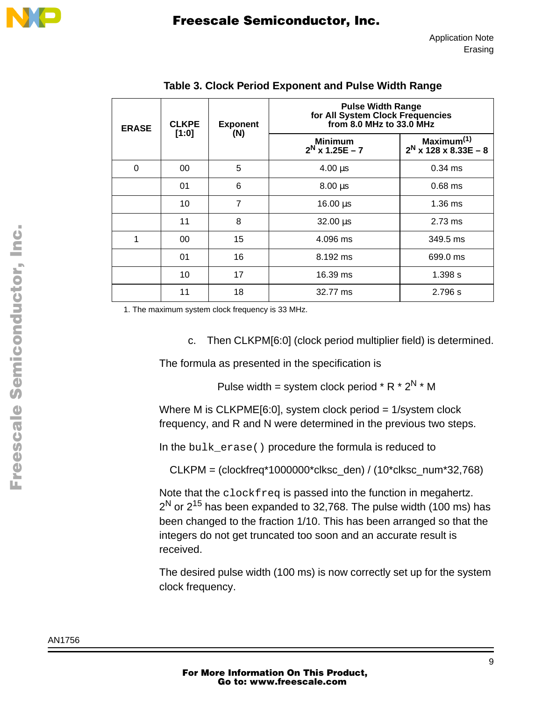<span id="page-8-0"></span>

| <b>ERASE</b> | <b>CLKPE</b> | <b>Exponent</b> | <b>Pulse Width Range</b><br>for All System Clock Frequencies<br>from 8.0 MHz to 33.0 MHz |                                                   |
|--------------|--------------|-----------------|------------------------------------------------------------------------------------------|---------------------------------------------------|
|              | [1:0]        | (N)             | <b>Minimum</b><br>$2^N$ x 1.25E – 7                                                      | Maximum <sup>(1)</sup><br>$2^N$ x 128 x 8.33E - 8 |
| $\Omega$     | 00           | 5               | $4.00 \,\mu s$                                                                           | $0.34$ ms                                         |
|              | 01           | 6               | $8.00 \,\mu s$                                                                           | $0.68$ ms                                         |
|              | 10           | $\overline{7}$  | $16.00 \,\mu s$                                                                          | $1.36$ ms                                         |
|              | 11           | 8               | $32.00 \,\mu s$                                                                          | $2.73$ ms                                         |
| 1            | $00 \,$      | 15              | 4.096 ms                                                                                 | 349.5 ms                                          |
|              | 01           | 16              | 8.192 ms                                                                                 | 699.0 ms                                          |
|              | 10           | 17              | 16.39 ms                                                                                 | 1.398 s                                           |
|              | 11           | 18              | 32.77 ms                                                                                 | 2.796 s                                           |

**Table 3. Clock Period Exponent and Pulse Width Range**

1. The maximum system clock frequency is 33 MHz.

c. Then CLKPM[6:0] (clock period multiplier field) is determined.

The formula as presented in the specification is

Pulse width = system clock period  $* R * 2^N * M$ 

Where M is CLKPME $[6:0]$ , system clock period = 1/system clock frequency, and R and N were determined in the previous two steps.

In the bulk\_erase() procedure the formula is reduced to

CLKPM = (clockfreq\*1000000\*clksc\_den) / (10\*clksc\_num\*32,768)

Note that the clockfreq is passed into the function in megahertz.  $2^N$  or  $2^{15}$  has been expanded to 32,768. The pulse width (100 ms) has been changed to the fraction 1/10. This has been arranged so that the integers do not get truncated too soon and an accurate result is received.

The desired pulse width (100 ms) is now correctly set up for the system clock frequency.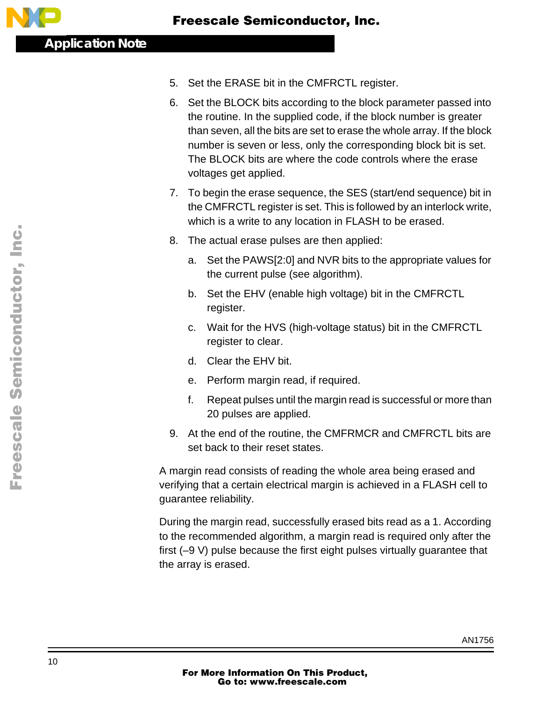

- 5. Set the ERASE bit in the CMFRCTL register.
- 6. Set the BLOCK bits according to the block parameter passed into the routine. In the supplied code, if the block number is greater than seven, all the bits are set to erase the whole array. If the block number is seven or less, only the corresponding block bit is set. The BLOCK bits are where the code controls where the erase voltages get applied.
- 7. To begin the erase sequence, the SES (start/end sequence) bit in the CMFRCTL register is set. This is followed by an interlock write, which is a write to any location in FLASH to be erased.
- 8. The actual erase pulses are then applied:
	- a. Set the PAWS[2:0] and NVR bits to the appropriate values for the current pulse (see algorithm).
	- b. Set the EHV (enable high voltage) bit in the CMFRCTL register.
	- c. Wait for the HVS (high-voltage status) bit in the CMFRCTL register to clear.
	- d. Clear the EHV bit.
	- e. Perform margin read, if required.
	- f. Repeat pulses until the margin read is successful or more than 20 pulses are applied.
- 9. At the end of the routine, the CMFRMCR and CMFRCTL bits are set back to their reset states.

A margin read consists of reading the whole area being erased and verifying that a certain electrical margin is achieved in a FLASH cell to guarantee reliability.

During the margin read, successfully erased bits read as a 1. According to the recommended algorithm, a margin read is required only after the first (–9 V) pulse because the first eight pulses virtually guarantee that the array is erased.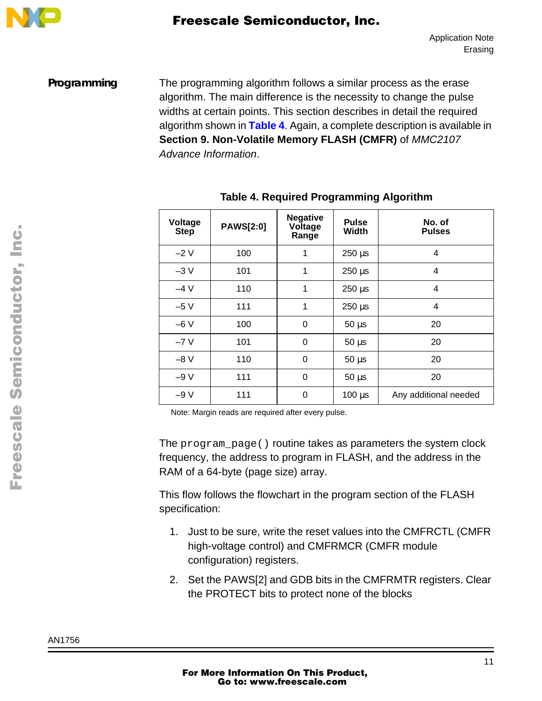

#### **Programming** The programming algorithm follows a similar process as the erase algorithm. The main difference is the necessity to change the pulse widths at certain points. This section describes in detail the required algorithm shown in **Table 4**. Again, a complete description is available in **Section 9. Non-Volatile Memory FLASH (CMFR)** of MMC2107 Advance Information.

| Voltage<br><b>Step</b> | <b>PAWS[2:0]</b> | <b>Negative</b><br>Voltage<br>Range | <b>Pulse</b><br>Width | No. of<br><b>Pulses</b> |
|------------------------|------------------|-------------------------------------|-----------------------|-------------------------|
| $-2V$                  | 100              | 1                                   | $250 \,\mu s$         | 4                       |
| $-3V$                  | 101              | 1                                   | $250 \,\mu s$         | 4                       |
| $-4V$                  | 110              | 1                                   | $250 \,\mu s$         | 4                       |
| $-5V$                  | 111              | 1                                   | $250 \,\mu s$         | 4                       |
| $-6V$                  | 100              | 0                                   | $50 \mu s$            | 20                      |
| $-7V$                  | 101              | $\Omega$                            | $50 \mu s$            | 20                      |
| $-8V$                  | 110              | $\mathbf 0$                         | $50 \mu s$            | 20                      |
| $-9V$                  | 111              | 0                                   | $50 \mu s$            | 20                      |
| $-9V$                  | 111              | $\Omega$                            | $100 \mu s$           | Any additional needed   |

#### **Table 4. Required Programming Algorithm**

Note: Margin reads are required after every pulse.

The program\_page() routine takes as parameters the system clock frequency, the address to program in FLASH, and the address in the RAM of a 64-byte (page size) array.

This flow follows the flowchart in the program section of the FLASH specification:

- 1. Just to be sure, write the reset values into the CMFRCTL (CMFR high-voltage control) and CMFRMCR (CMFR module configuration) registers.
- 2. Set the PAWS[2] and GDB bits in the CMFRMTR registers. Clear the PROTECT bits to protect none of the blocks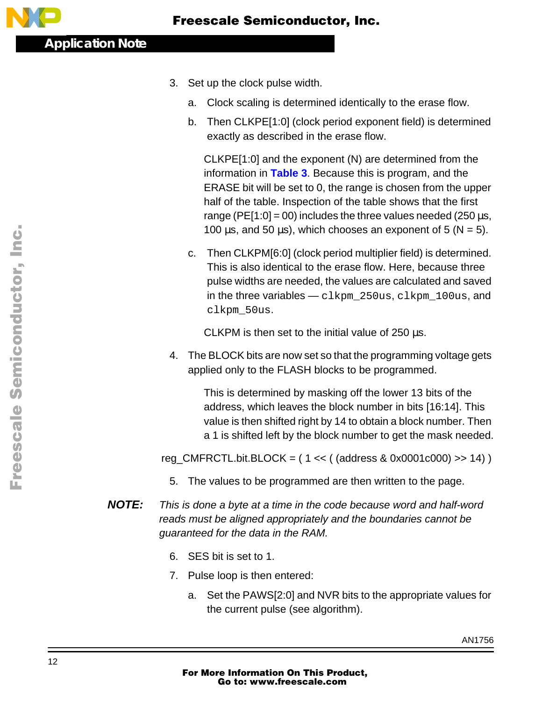

- 3. Set up the clock pulse width.
	- a. Clock scaling is determined identically to the erase flow.
	- b. Then CLKPE[1:0] (clock period exponent field) is determined exactly as described in the erase flow.

CLKPE[1:0] and the exponent (N) are determined from the information in **[Table 3](#page-8-0)**. Because this is program, and the ERASE bit will be set to 0, the range is chosen from the upper half of the table. Inspection of the table shows that the first range (PE[1:0] = 00) includes the three values needed (250  $\mu$ s, 100  $\mu$ s, and 50  $\mu$ s), which chooses an exponent of 5 (N = 5).

c. Then CLKPM[6:0] (clock period multiplier field) is determined. This is also identical to the erase flow. Here, because three pulse widths are needed, the values are calculated and saved in the three variables — clkpm\_250us, clkpm\_100us, and clkpm\_50us.

CLKPM is then set to the initial value of  $250 \,\mu s$ .

4. The BLOCK bits are now set so that the programming voltage gets applied only to the FLASH blocks to be programmed.

> This is determined by masking off the lower 13 bits of the address, which leaves the block number in bits [16:14]. This value is then shifted right by 14 to obtain a block number. Then a 1 is shifted left by the block number to get the mask needed.

reg\_CMFRCTL.bit.BLOCK = ( 1 << ( (address & 0x0001c000) >> 14) )

- 5. The values to be programmed are then written to the page.
- **NOTE:** This is done a byte at a time in the code because word and half-word reads must be aligned appropriately and the boundaries cannot be guaranteed for the data in the RAM.
	- 6. SES bit is set to 1.
	- 7. Pulse loop is then entered:
		- a. Set the PAWS[2:0] and NVR bits to the appropriate values for the current pulse (see algorithm).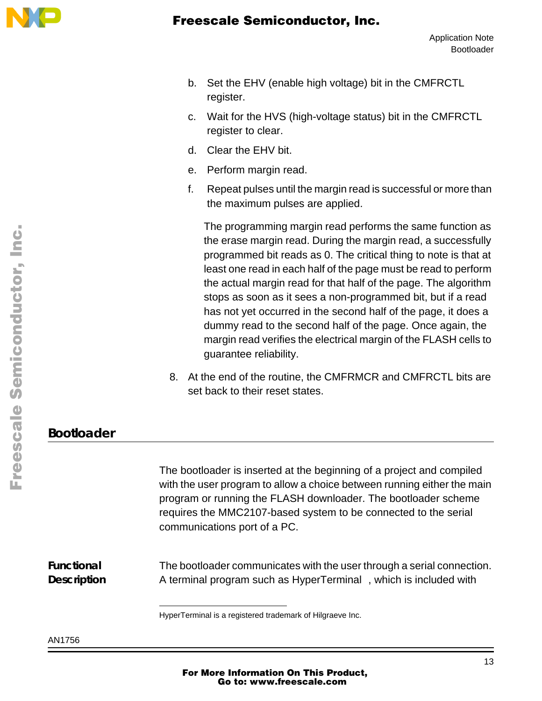

- b. Set the EHV (enable high voltage) bit in the CMFRCTL register.
- c. Wait for the HVS (high-voltage status) bit in the CMFRCTL register to clear.
- d. Clear the EHV bit.
- e. Perform margin read.
- f. Repeat pulses until the margin read is successful or more than the maximum pulses are applied.

The programming margin read performs the same function as the erase margin read. During the margin read, a successfully programmed bit reads as 0. The critical thing to note is that at least one read in each half of the page must be read to perform the actual margin read for that half of the page. The algorithm stops as soon as it sees a non-programmed bit, but if a read has not yet occurred in the second half of the page, it does a dummy read to the second half of the page. Once again, the margin read verifies the electrical margin of the FLASH cells to guarantee reliability.

8. At the end of the routine, the CMFRMCR and CMFRCTL bits are set back to their reset states.

# **Bootloader**

The bootloader is inserted at the beginning of a project and compiled with the user program to allow a choice between running either the main program or running the FLASH downloader. The bootloader scheme requires the MMC2107-based system to be connected to the serial communications port of a PC.

**Functional Description**

AN1756

The bootloader communicates with the user through a serial connection. A terminal program such as HyperTerminal<sup>®</sup>, which is included with

HyperTerminal is a registered trademark of Hilgraeve Inc.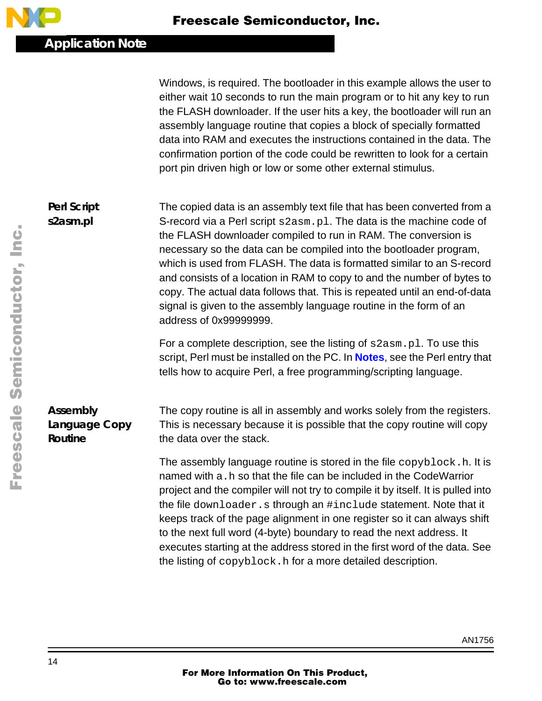

Windows, is required. The bootloader in this example allows the user to either wait 10 seconds to run the main program or to hit any key to run the FLASH downloader. If the user hits a key, the bootloader will run an assembly language routine that copies a block of specially formatted data into RAM and executes the instructions contained in the data. The confirmation portion of the code could be rewritten to look for a certain port pin driven high or low or some other external stimulus.

**Perl Script s2asm.pl** The copied data is an assembly text file that has been converted from a S-record via a Perl script s2asm.pl. The data is the machine code of the FLASH downloader compiled to run in RAM. The conversion is necessary so the data can be compiled into the bootloader program, which is used from FLASH. The data is formatted similar to an S-record and consists of a location in RAM to copy to and the number of bytes to copy. The actual data follows that. This is repeated until an end-of-data signal is given to the assembly language routine in the form of an address of 0x99999999.

> For a complete description, see the listing of  $s2asm.pl$ . To use this script, Perl must be installed on the PC. In **[Notes](#page-20-0)**, see the Perl entry that tells how to acquire Perl, a free programming/scripting language.

#### **Assembly Language Copy Routine**

The copy routine is all in assembly and works solely from the registers. This is necessary because it is possible that the copy routine will copy the data over the stack.

The assembly language routine is stored in the file copyblock.h. It is named with a.h so that the file can be included in the CodeWarrior project and the compiler will not try to compile it by itself. It is pulled into the file downloader.s through an #include statement. Note that it keeps track of the page alignment in one register so it can always shift to the next full word (4-byte) boundary to read the next address. It executes starting at the address stored in the first word of the data. See the listing of copyblock.h for a more detailed description.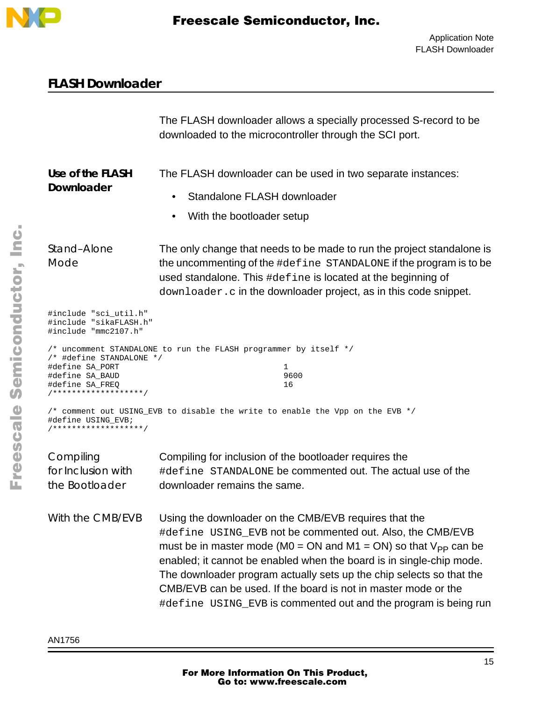<span id="page-14-0"></span>

#### **FLASH Downloader**

The FLASH downloader allows a specially processed S-record to be downloaded to the microcontroller through the SCI port.

**Use of the FLASH Downloader**

The FLASH downloader can be used in two separate instances:

- Standalone FLASH downloader
- With the bootloader setup

*Stand–Alone Mode*

The only change that needs to be made to run the project standalone is the uncommenting of the #define STANDALONE if the program is to be used standalone. This #define is located at the beginning of downloader.c in the downloader project, as in this code snippet.

```
#include "sci_util.h"
#include "sikaFLASH.h"
#include "mmc2107.h"
/* uncomment STANDALONE to run the FLASH programmer by itself */
/* #define STANDALONE */
#define SA_PORT 1
#define SA_BAUD 9600
#define SA_FREQ 16
/*******************/
/* comment out USING EVB to disable the write to enable the Vpp on the EVB */#define USING_EVB;
/*******************/
```
*Compiling for Inclusion with the Bootloader* Compiling for inclusion of the bootloader requires the #define STANDALONE be commented out. The actual use of the downloader remains the same.

*With the CMB/EVB* Using the downloader on the CMB/EVB requires that the #define USING\_EVB not be commented out. Also, the CMB/EVB must be in master mode (M0 = ON and M1 = ON) so that  $V_{PP}$  can be enabled; it cannot be enabled when the board is in single-chip mode. The downloader program actually sets up the chip selects so that the CMB/EVB can be used. If the board is not in master mode or the #define USING\_EVB is commented out and the program is being run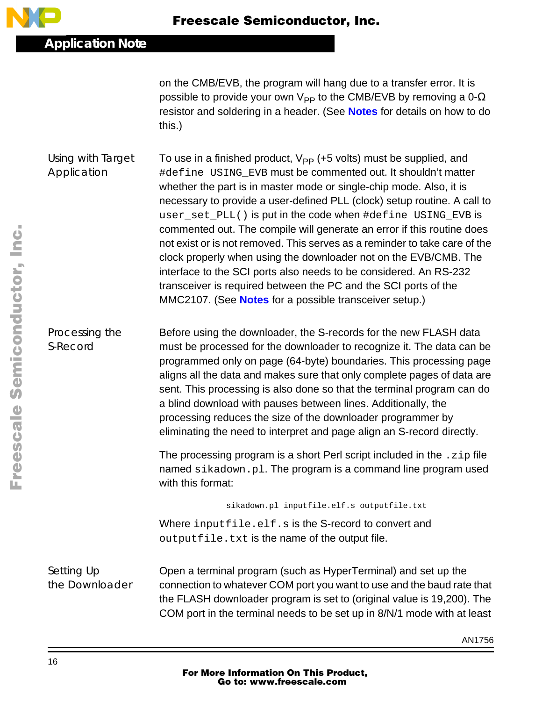

on the CMB/EVB, the program will hang due to a transfer error. It is possible to provide your own V<sub>PP</sub> to the CMB/EVB by removing a 0- $\Omega$ resistor and soldering in a header. (See **[Notes](#page-20-0)** for details on how to do this.)

*Using with Target Application* To use in a finished product,  $V_{PP}$  (+5 volts) must be supplied, and #define USING\_EVB must be commented out. It shouldn't matter whether the part is in master mode or single-chip mode. Also, it is necessary to provide a user-defined PLL (clock) setup routine. A call to user\_set\_PLL() is put in the code when #define USING\_EVB is commented out. The compile will generate an error if this routine does not exist or is not removed. This serves as a reminder to take care of the clock properly when using the downloader not on the EVB/CMB. The interface to the SCI ports also needs to be considered. An RS-232 transceiver is required between the PC and the SCI ports of the MMC2107. (See **[Notes](#page-20-0)** for a possible transceiver setup.)

*Processing the S-Record*

Before using the downloader, the S-records for the new FLASH data must be processed for the downloader to recognize it. The data can be programmed only on page (64-byte) boundaries. This processing page aligns all the data and makes sure that only complete pages of data are sent. This processing is also done so that the terminal program can do a blind download with pauses between lines. Additionally, the processing reduces the size of the downloader programmer by eliminating the need to interpret and page align an S-record directly.

The processing program is a short Perl script included in the  $.$  zip file named sikadown.pl. The program is a command line program used with this format:

sikadown.pl inputfile.elf.s outputfile.txt

Where inputfile.elf.s is the S-record to convert and outputfile.txt is the name of the output file.

*Setting Up the Downloader* Open a terminal program (such as HyperTerminal) and set up the connection to whatever COM port you want to use and the baud rate that the FLASH downloader program is set to (original value is 19,200). The COM port in the terminal needs to be set up in 8/N/1 mode with at least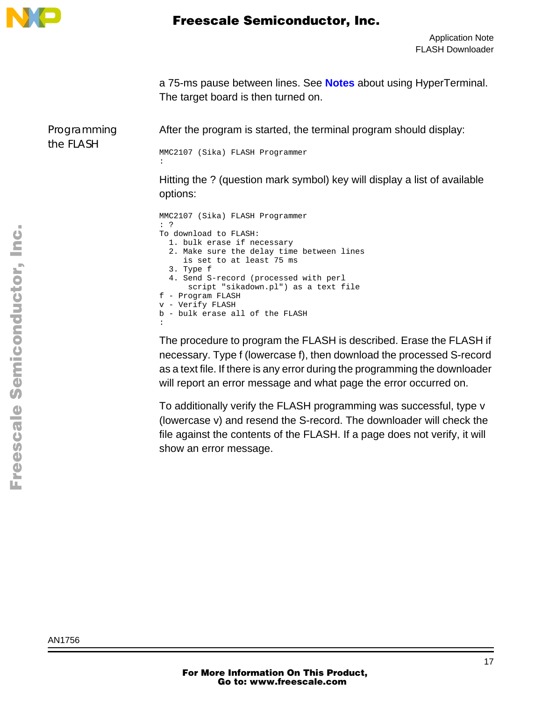

*the FLASH*

# Freescale Semiconductor, Inc.

a 75-ms pause between lines. See **[Notes](#page-20-0)** about using HyperTerminal. The target board is then turned on.

*Programming* After the program is started, the terminal program should display:

MMC2107 (Sika) FLASH Programmer

:

Hitting the ? (question mark symbol) key will display a list of available options:

```
MMC2107 (Sika) FLASH Programmer
: ?
To download to FLASH:
   1. bulk erase if necessary
   2. Make sure the delay time between lines
      is set to at least 75 ms
   3. Type f
   4. Send S-record (processed with perl
      script "sikadown.pl") as a text file
f - Program FLASH
v - Verify FLASH
b - bulk erase all of the FLASH
:
```
The procedure to program the FLASH is described. Erase the FLASH if necessary. Type f (lowercase f), then download the processed S-record as a text file. If there is any error during the programming the downloader will report an error message and what page the error occurred on.

To additionally verify the FLASH programming was successful, type v (lowercase v) and resend the S-record. The downloader will check the file against the contents of the FLASH. If a page does not verify, it will show an error message.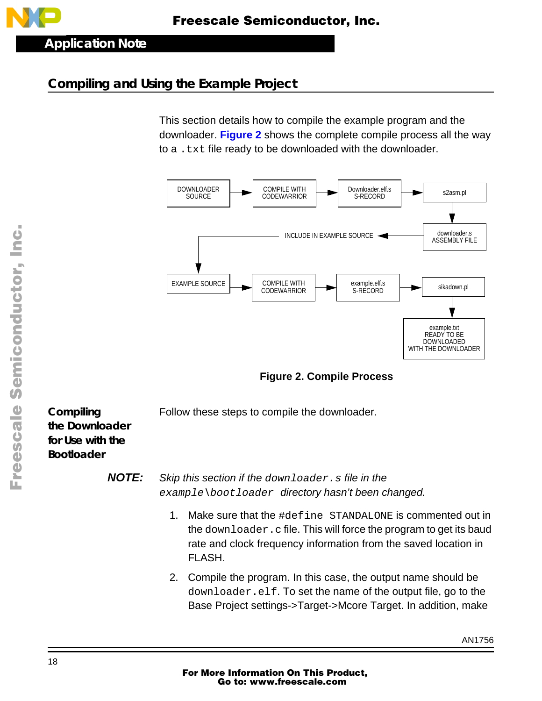

# **Compiling and Using the Example Project**

This section details how to compile the example program and the downloader. **Figure 2** shows the complete compile process all the way to a .txt file ready to be downloaded with the downloader.



**Figure 2. Compile Process**

Follow these steps to compile the downloader.

**Compiling the Downloader for Use with the Bootloader**

**NOTE:** Skip this section if the downloader.s file in the example\bootloader directory hasn't been changed.

- 1. Make sure that the #define STANDALONE is commented out in the downloader.c file. This will force the program to get its baud rate and clock frequency information from the saved location in FLASH.
- 2. Compile the program. In this case, the output name should be downloader.elf. To set the name of the output file, go to the Base Project settings->Target->Mcore Target. In addition, make

AN1756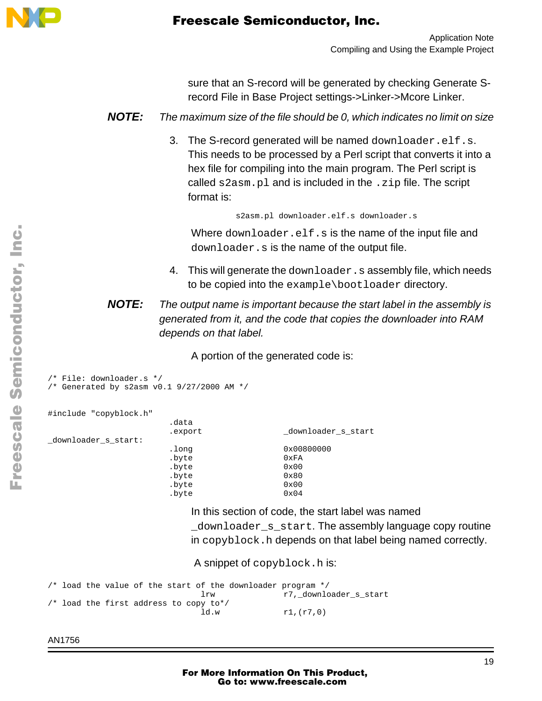

sure that an S-record will be generated by checking Generate Srecord File in Base Project settings->Linker->Mcore Linker.

#### **NOTE:** The maximum size of the file should be 0, which indicates no limit on size

3. The S-record generated will be named downloader.elf.s. This needs to be processed by a Perl script that converts it into a hex file for compiling into the main program. The Perl script is called  $s2asm.pl$  and is included in the .  $zip$  file. The script format is:

s2asm.pl downloader.elf.s downloader.s

Where downloader.elf.s is the name of the input file and downloader.s is the name of the output file.

- 4. This will generate the downloader. s assembly file, which needs to be copied into the example\bootloader directory.
- **NOTE:** The output name is important because the start label in the assembly is generated from it, and the code that copies the downloader into RAM depends on that label.

A portion of the generated code is:

```
/* File: downloader.s */
/* Generated by s2asm v0.1 9/27/2000 AM */
#include "copyblock.h"
                .data
                .export _downloader_s_start
_downloader_s_start:
                .long 0x00800000
                .byte 0xFA
                .byte 0x00
                .byte 0x80
                .byte 0x00
                .byte 0x04
```
In this section of code, the start label was named

downloader s start. The assembly language copy routine in copyblock.h depends on that label being named correctly.

A snippet of copyblock.h is:

```
/* load the value of the start of the downloader program */
                           lrw r7,_downloader_s_start
/* load the first address to copy to*/
                           ld.w r1,(r7,0)
```

```
AN1756
```
r, I

n

.<br>ق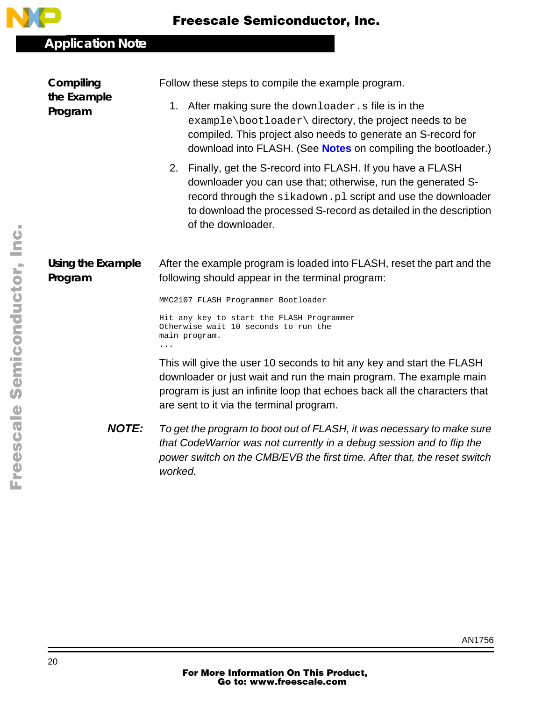

| <b>Application Note</b> |  |
|-------------------------|--|
|                         |  |

| Compiling                    | Follow these steps to compile the example program.                                                                                                                                                                                                                                      |  |  |
|------------------------------|-----------------------------------------------------------------------------------------------------------------------------------------------------------------------------------------------------------------------------------------------------------------------------------------|--|--|
| the Example<br>Program       | 1. After making sure the downloader. s file is in the<br>$example\backslash bootLoader\backslash directory,$ the project needs to be<br>compiled. This project also needs to generate an S-record for<br>download into FLASH. (See <b>Notes</b> on compiling the bootloader.)           |  |  |
|                              | 2. Finally, get the S-record into FLASH. If you have a FLASH<br>downloader you can use that; otherwise, run the generated S-<br>record through the sikadown.pl script and use the downloader<br>to download the processed S-record as detailed in the description<br>of the downloader. |  |  |
| Using the Example<br>Program | After the example program is loaded into FLASH, reset the part and the<br>following should appear in the terminal program:                                                                                                                                                              |  |  |
|                              | MMC2107 FLASH Programmer Bootloader                                                                                                                                                                                                                                                     |  |  |
|                              | Hit any key to start the FLASH Programmer<br>Otherwise wait 10 seconds to run the<br>main program.                                                                                                                                                                                      |  |  |
|                              | This will give the user 10 seconds to hit any key and start the FLASH<br>downloader or just wait and run the main program. The example main<br>program is just an infinite loop that echoes back all the characters that<br>are sent to it via the terminal program.                    |  |  |
| <b>NOTE:</b>                 | To get the program to boot out of FLASH, it was necessary to make sure<br>that CodeWarrior was not currently in a debug session and to flip the<br>power switch on the CMB/EVB the first time. After that, the reset switch                                                             |  |  |

worked.

AN1756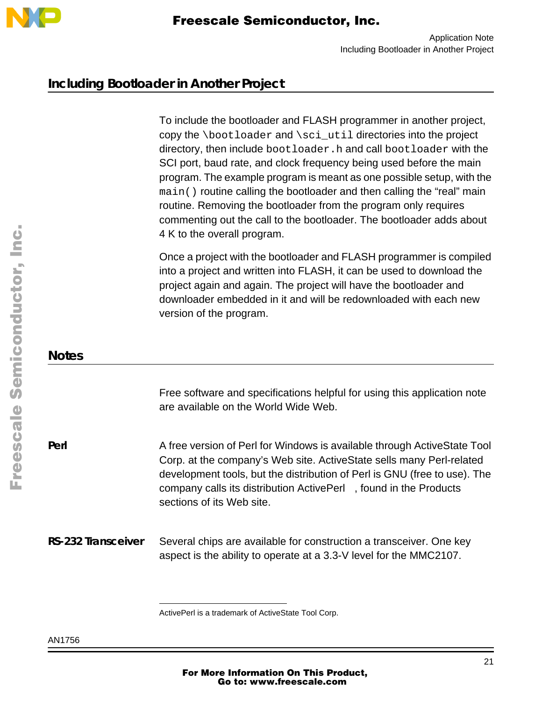<span id="page-20-0"></span>

### **Including Bootloader in Another Project**

To include the bootloader and FLASH programmer in another project, copy the \bootloader and \sci\_util directories into the project directory, then include bootloader.h and call bootloader with the SCI port, baud rate, and clock frequency being used before the main program. The example program is meant as one possible setup, with the main() routine calling the bootloader and then calling the "real" main routine. Removing the bootloader from the program only requires commenting out the call to the bootloader. The bootloader adds about 4 K to the overall program.

Once a project with the bootloader and FLASH programmer is compiled into a project and written into FLASH, it can be used to download the project again and again. The project will have the bootloader and downloader embedded in it and will be redownloaded with each new version of the program.

### **Notes**

|                    | Free software and specifications helpful for using this application note<br>are available on the World Wide Web.                                                                                                                                                                                                                 |
|--------------------|----------------------------------------------------------------------------------------------------------------------------------------------------------------------------------------------------------------------------------------------------------------------------------------------------------------------------------|
| Perl               | A free version of Perl for Windows is available through ActiveState Tool<br>Corp. at the company's Web site. Active State sells many Perl-related<br>development tools, but the distribution of Perl is GNU (free to use). The<br>company calls its distribution ActivePerl™, found in the Products<br>sections of its Web site. |
| RS-232 Transceiver | Several chips are available for construction a transceiver. One key<br>aspect is the ability to operate at a 3.3-V level for the MMC2107.                                                                                                                                                                                        |

ActivePerl is a trademark of ActiveState Tool Corp.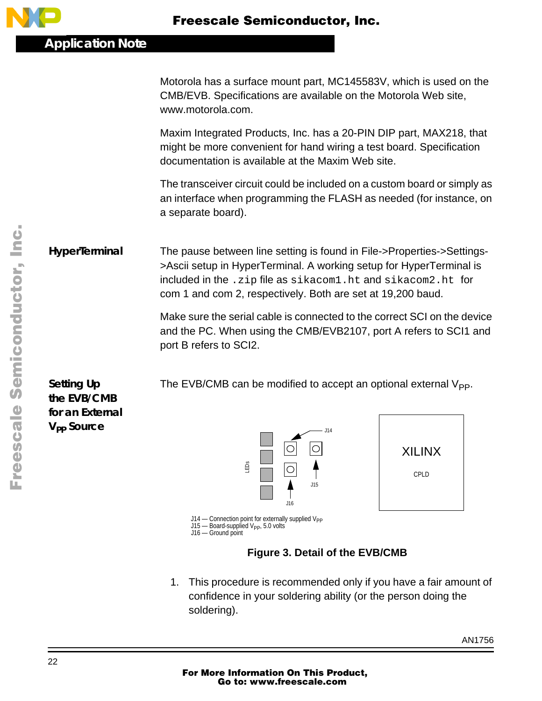<span id="page-21-0"></span>

Motorola has a surface mount part, MC145583V, which is used on the CMB/EVB. Specifications are available on the Motorola Web site, www.motorola.com.

Maxim Integrated Products, Inc. has a 20-PIN DIP part, MAX218, that might be more convenient for hand wiring a test board. Specification documentation is available at the Maxim Web site.

The transceiver circuit could be included on a custom board or simply as an interface when programming the FLASH as needed (for instance, on a separate board).

**HyperTerminal** The pause between line setting is found in File->Properties->Settings- >Ascii setup in HyperTerminal. A working setup for HyperTerminal is included in the .zip file as sikacom1.ht and sikacom2.ht for com 1 and com 2, respectively. Both are set at 19,200 baud.

> Make sure the serial cable is connected to the correct SCI on the device and the PC. When using the CMB/EVB2107, port A refers to SCI1 and port B refers to SCI2.

The EVB/CMB can be modified to accept an optional external  $V_{\text{PP}}$ .





 $J14$  – Connection point for externally supplied  $V_{\text{PP}}$ J15 — Board-supplied V<sub>PP</sub>, 5.0 volts<br>J16 — Ground point

**Figure 3. Detail of the EVB/CMB**

1. This procedure is recommended only if you have a fair amount of confidence in your soldering ability (or the person doing the soldering).

n

.<br>ق

**Setting Up the EVB/CMB for an External V<sub>PP</sub>** Source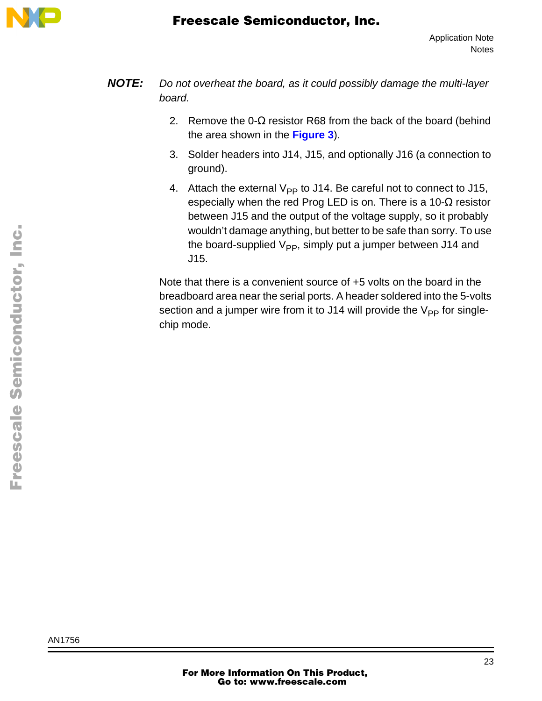

- **NOTE:** Do not overheat the board, as it could possibly damage the multi-layer board.
	- 2. Remove the  $0-\Omega$  resistor R68 from the back of the board (behind the area shown in the **[Figure 3](#page-21-0)**).
	- 3. Solder headers into J14, J15, and optionally J16 (a connection to ground).
	- 4. Attach the external  $V_{PP}$  to J14. Be careful not to connect to J15, especially when the red Prog LED is on. There is a 10- $\Omega$  resistor between J15 and the output of the voltage supply, so it probably wouldn't damage anything, but better to be safe than sorry. To use the board-supplied  $V_{\text{PP}}$ , simply put a jumper between J14 and J15.

Note that there is a convenient source of +5 volts on the board in the breadboard area near the serial ports. A header soldered into the 5-volts section and a jumper wire from it to J14 will provide the  $V_{PP}$  for singlechip mode.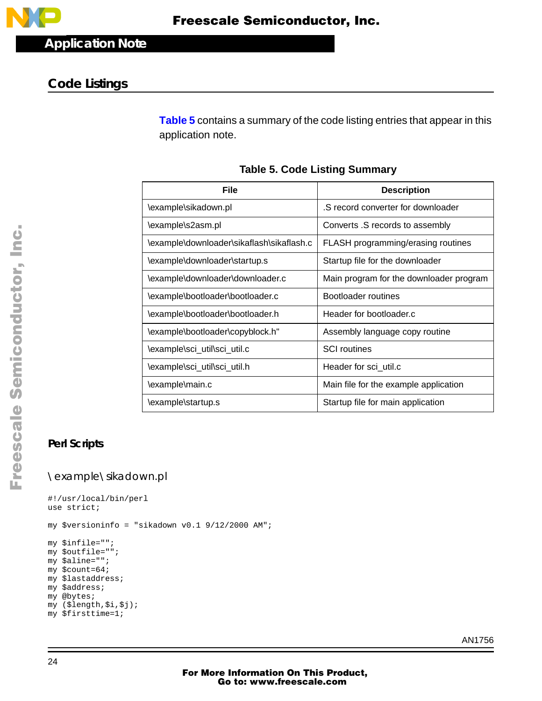

### **Code Listings**

**Table 5** contains a summary of the code listing entries that appear in this application note.

**Table 5. Code Listing Summary**

| <b>File</b>                               | <b>Description</b>                      |
|-------------------------------------------|-----------------------------------------|
| \example\sikadown.pl                      | .S record converter for downloader      |
| \example\s2asm.pl                         | Converts .S records to assembly         |
| \example\downloader\sikaflash\sikaflash.c | FLASH programming/erasing routines      |
| \example\downloader\startup.s             | Startup file for the downloader         |
| \example\downloader\downloader.c          | Main program for the downloader program |
| \example\bootloader\bootloader.c          | Bootloader routines                     |
| \example\bootloader\bootloader.h          | Header for bootloader.c                 |
| \example\bootloader\copyblock.h"          | Assembly language copy routine          |
| \example\sci_util\sci_util.c              | <b>SCI</b> routines                     |
| \example\sci_util\sci_util.h              | Header for sci_util.c                   |
| \example\main.c                           | Main file for the example application   |
| \example\startup.s                        | Startup file for main application       |

#### **Perl Scripts**

*\example\sikadown.pl*

```
#!/usr/local/bin/perl
use strict;
my $versioninfo = "sikadown v0.1 9/12/2000 AM";
my $infile="";
my $outfile="";
my $aline="";
my $count=64;
my $lastaddress;
my $address;
my @bytes;
my ($length,$i,$j);
my $firsttime=1;
```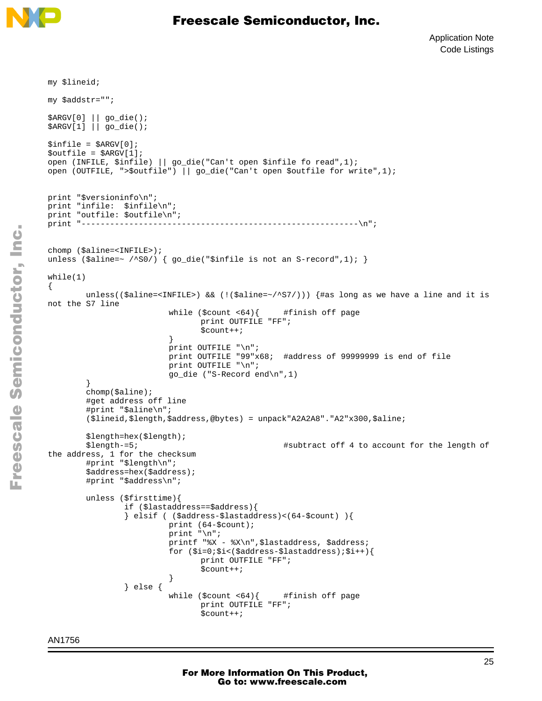

```
my $lineid;
my $addstr="";
$ARGV[0] || go_die();
$ARGV[1] || go_die();
$infile = $ARGV[0];$outfile = $ARGV[1];open (INFILE, $infile) || go_die("Can't open $infile fo read",1);
open (OUTFILE, ">$outfile") || go_die("Can't open $outfile for write",1);
print "$versioninfo\n";
print "infile: $infile\n";
print "outfile: $outfile\n";
print "----------------------------------------------------------\n";
chomp ($aline=<INFILE>);
unless ($aline=~ /^S0/) { go_die("$infile is not an S-record",1); }
while(1)
{
        unless(($aline=<INFILE>) && (!($aline=~/^S7/))) {#as long as we have a line and it is
not the S7 line
                         while (\text{sound} < 64) \{ #finish off page
                                print OUTFILE "FF";
                                $count++;
                         }
                         print OUTFILE "\n";
                         print OUTFILE "99"x68; #address of 99999999 is end of file
                         print OUTFILE "\n";
                         go_die ("S-Record end\n",1)
        }
        chomp($aline);
        #get address off line
        #print "$aline\n";
        ($lineid,$length,$address,@bytes) = unpack"A2A2A8"."A2"x300,$aline;
        $length=hex($length);
        $length-=5; #subtract off 4 to account for the length of
the address, 1 for the checksum
        #print "$length\n";
        $address=hex($address);
        #print "$address\n";
        unless ($firsttime){
                if ($lastaddress==$address){
                } elsif ( ($address-$lastaddress)<(64-$count) ){
                         print (64-$count);
                         print "\n";
                         printf "%X - %X\n",$lastaddress, $address;
                         for (\xi_i=0;\xi_i<\xi_a)dress-\xi\lambda_ddress); \xi_i++\print OUTFILE "FF";
                                $count++;
                         }
                } else {
                         while (\text{sound} < 64) \{ #finish off page
                                print OUTFILE "FF";
                                $count++;
```
F

AN1756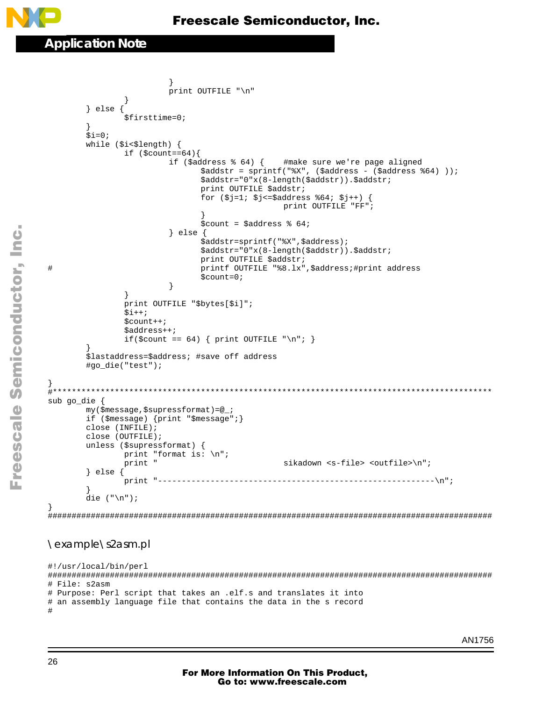

```
\}print OUTFILE "\n"
      } else
             $firsttime=0;
      \}$i = 0;while ($i<$length) {
             if (\text{sound}==64) {
                    if ($address % 64) { #make sure we're page aligned
                          $addstr = sprintf("8X", ($address - ($address $64) )$);$addstr="0"x(8-length($addstr)).$addstr;
                          print OUTFILE $addstr;
                          for (\xi j=1; \xi j<=\xi address \xi 64; \xi j++)print OUTFILE "FF";
                          \text{\%count} = \text{\%address} \ \text{\%} \ 64;} else \{$addstr=sprintf("%X", $address);
                          $addstr="0"x(8-length($addstr)).$addstr;
                          print OUTFILE $addstr;
                          printf OUTFILE "%8.lx", $address; #print address
                          scount=0;\}print OUTFILE "Sbytes[$i]";
             $i++;$count++;$address++;if($count == 64) { print OUTFILE "\n"; }
      $lastaddress=$address; #save off address
      #go_die("test");
sub go\_die {
      my($message,$supressformat)=@_;
      if ($message) \{print "$message"; }
      close (INFILE);
      close (OUTFILE);
      unless (\text{supressformat}) {
            print "format is: \n\timesprint "
                                        sikadown <s-file> <outfile>\n";
      } else \{\mathcal{E}die (\sqrt[n]{n});
\example\s2asm.pl
#!/usr/local/bin/perl
# File: s2asm
# Purpose: Perl script that takes an .elf.s and translates it into
# an assembly language file that contains the data in the s record
```
 $#$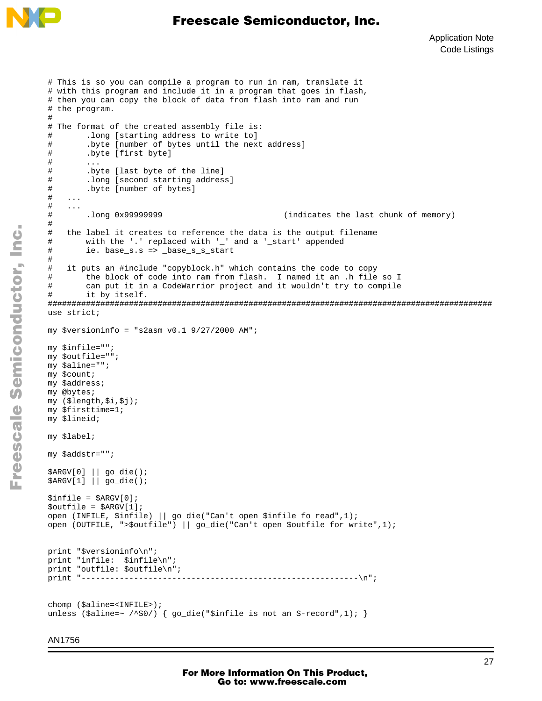

**Application Note Code Listings** 

```
# This is so you can compile a program to run in ram, translate it
# with this program and include it in a program that goes in flash,
# then you can copy the block of data from flash into ram and run
# the program.
## The format of the created assembly file is:
#.long [starting address to write to]
#.byte [number of bytes until the next address]
#.byte [first byte]
\#. . .
        .byte [last byte of the line]
\#\#.long [second starting address]
        .byte [number of bytes]
#\#\#\ldots\#.long 0x99999999
                                                  (indicates the last chunk of memory)
#the label it creates to reference the data is the output filename
#with the '.' replaced with '_' and a '_start' appended
\#ie. base_s.s => _base_s_s_start
##it puts an #include "copyblock.h" which contains the code to copy
##the block of code into ram from flash. I named it an .h file so I
        can put it in a CodeWarrior project and it wouldn't try to compile
#it by itself.
#use strict;
my $versioninfo = "s2asm v0.1 9/27/2000 AM";
my $infile="";
my $outfile="";
my $aline="";
my $count;
my $address;
my @bytes;
my ($length,$i,$j);
my $firsttime=1;
my $lineid;
my $label;
my $addstr="";
\begin{array}{ll} \text{\texttt{\$ARGV[0] $} & || & \text{\texttt{go\_die()}$} \text{;} \\ \text{\texttt{\$ARGV[1] $} & || & \text{\texttt{go\_die()}$} \text{;} \end{array}$infile = $ARGV[0];$outfile = $ARGV[1];open (INFILE, $infile) || go_die("Can't open $infile fo read",1);
open (OUTFILE, ">$outfile") || g_0die("Can't open $outfile for write",1);
print "$versioninfo\n";
print "infile: $infile\n";
print "outfile: $outfile\n";
chomp ($aline=<INFILE>);
unless ($aline=~ /^S0/) { go_die("$infile is not an S-record",1); }
```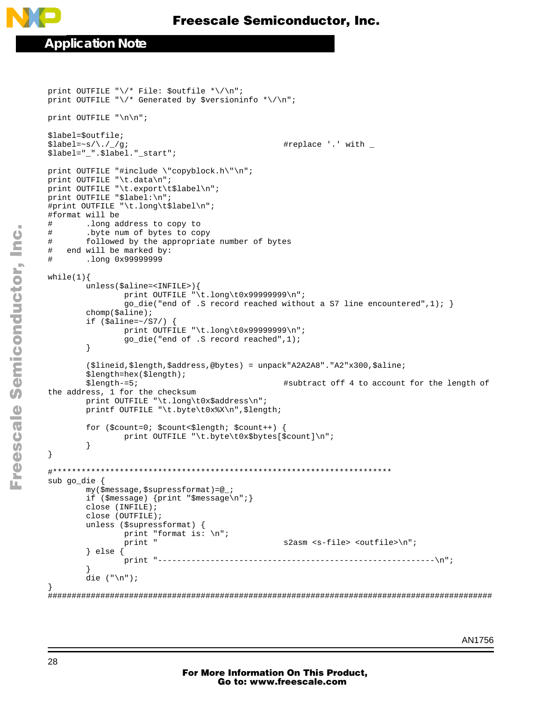

```
Application Note
```

```
print OUTFILE "\/* File: $outfile *\/\n";
print OUTFILE "\backslash/* Generated by $versioninfo *\backslash/\backslash n";
print OUTFILE "\n\n";
$label=$outfile;
$label=\s/\\s/\\s/\\s/\\s/$label="_".$label."_start";
print OUTFILE "#include \"copyblock.h\"\n";
print OUTFILE "\t.data\n";
print OUTFILE "\t.export\t$label\n";
print OUTFILE "$label:\n";
#print OUTFILE "\t.long\t$label\n";
#format will be
# .long address to copy to
# .byte num of bytes to copy
# followed by the appropriate number of bytes
# end will be marked by:
# .long 0x99999999
while(1)\{unless($aline=<INFILE>){
               print OUTFILE "\t.long\t0x99999999\n";
                go_die("end of .S record reached without a S7 line encountered",1); }
        chomp($aline);
        if (\text{saline}=\sim/S7/) {
               print OUTFILE "\t.long\t0x99999999\n";
                go_die("end of .S record reached",1);
        }
        ($lineid,$length,$address,@bytes) = unpack"A2A2A8"."A2"x300,$aline;
        $length=hex($length);
        $length-=5; #subtract off 4 to account for the length of
the address, 1 for the checksum
        print OUTFILE "\t.long\t0x$address\n";
        printf OUTFILE "\t.byte\t0x%X\n",$length;
        for ($count=0; $count<$length; $count++) {
               print OUTFILE "\t.byte\t0x$bytes[$count]\n";
        }
}
#***********************************************************************
sub go_die {
        my($message,$supressformat)=@_;
        if ($message) {print "$message\n";}
       close (INFILE);
        close (OUTFILE);
        unless ($supressformat) {
               print "format is: \n \pi;<br>print "
                                                 s2asm \langle s-fil \rangle \langle outfile\rangle \langle n" ;} else {
                print "----------------------------------------------------------\n";
        }
        die ("\n");
}
#############################################################################################
```
F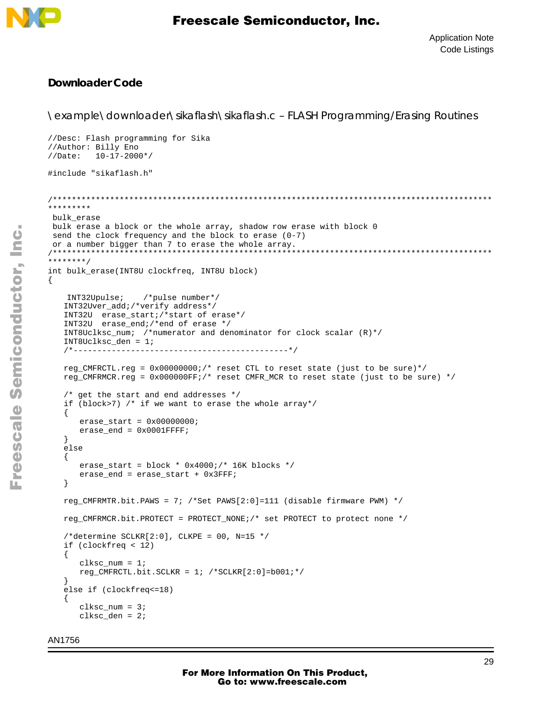

#### **Downloader Code**

```
\example\downloader\sikaflash\sikaflash.c - FLASH Programming/Erasing Routines
//Desc: Flash programming for Sika
//Author: Billy Eno
//Date: 10-17-2000*/
#include "sikaflash.h"
*********
bulk_erase
bulk erase a block or the whole array, shadow row erase with block 0
send the clock frequency and the block to erase (0-7)
or a number bigger than 7 to erase the whole array.
********/
int bulk_erase(INT8U clockfreq, INT8U block)
\{INT32Upulse;
                 /*pulse number*/
  INT32Uver_add;/*verify address*/
  INT32U erase_start;/*start of erase*/
  INT32U erase_end;/*end of erase */
  INT8Uclksc_num; /*numerator and denominator for clock scalar (R)*/
  INT8Uclksc\_den = 1;reg_CMFRCTL.reg = 0x00000000i/* reset CTL to reset state (just to be sure)*/
  reg_CMFRMCR.reg = 0x000000FF;/* reset CMFR_MCR to reset state (just to be sure) */
  /* get the start and end addresses */
  if (block>7) /* if we want to erase the whole array*/\{erase\_start = 0x00000000;\text{erase\_end} = 0 \times 0001 \text{FFFF}\}else
   \{erase start = block * 0x4000i/* 16K blocks */
     erase\_end = erase\_start + 0x3FFF;\left\{ \right\}reg_CMFRMTR.bit.PAWS = 7; /*Set PAWS[2:0]=111 (disable firmware PWM) */
  reg CMFRMCR.bit.PROTECT = PROTECT NONE;/* set PROTECT to protect none */
   /*determine SCLKR[2:0], CLKPE = 00, N=15 */
  if (clockfreq < 12)\{clksc_num = 1;
     req CMFRCTL.bit.SCLKR = 1; /*SCLKR[2:0]=b001;*/
  else if (clockfreq <= 18)
   \{clksc_name = 3;clksc_den = 2i
```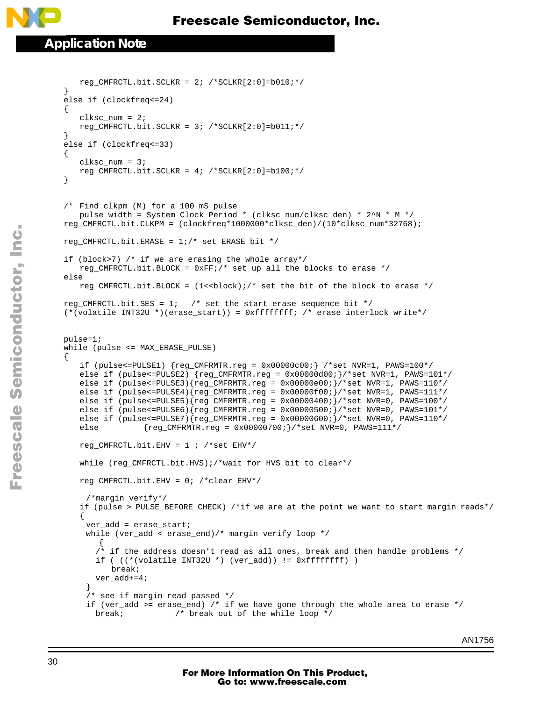

```
reg_CMFRCTL.bit.SCLKR = 2; /*SCLKR[2:0]=b010;*/
}
else if (clockfreq<=24)
{
   clksc\_num = 2;reg_CMFRCTL.bit.SCLKR = 3; /*SCLKR[2:0]=b011;*/
}
else if (clockfreq<=33)
{
   clksc_num = 3;
   reg CMFRCTL.bit.SCLKR = 4; /*SCLKR[2:0]=b100;*/
}
/* Find clkpm (M) for a 100 mS pulse
   pulse width = System Clock Period * (clksc_num/clksc_den) * 2^N * M */
reg_CMFRCTL.bit.CLKPM = (clockfreq*1000000*clksc_den)/(10*clksc_num*32768);
reg_CMFRCTL.bit.ERASE = 1;/* set ERASE bit */
if (block>7) /* if we are erasing the whole array*/
   reg_CMFRCTL.bit.BLOCK = 0xFF;/* set up all the blocks to erase */
else
   reg_CMFRCTL.bit.BLOCK = (1<<block);/* set the bit of the block to erase */
reg CMFRCTL.bit.SES = 1; /* set the start erase sequence bit */
(* (volationile INT32U *)(erase\_start)) = 0xffffffff; /* erase interlock write* /pulse=1;
while (pulse <= MAX_ERASE_PULSE)
{
   if (pulse<=PULSE1) \{reg\_CMFRMTR.read = 0x00000c00\} /*set NVR=1, PAWS=100*/
   else if (pulse<=PULSE2) {reg_CMFRMTR.reg = 0x00000d00;}/*set NVR=1, PAWS=101*/
   else if (pulse<=PULSE3){reg_CMFRMTR.reg = 0x00000e00;}/*set NVR=1, PAWS=110*/
   else if (pulse = PULSE4) reg\_CMFRMTR-reg = 0x00000f00; \}/*set NVR=1, PANS=111*/Pelse if (pulse<=PULSE5){reg\_CMFRMTR.read = 0x00000400;}/*set NVR=0, PANS=100*/else if (pulse<=PULSE6){reg\_CMFRMTR, reg = 0x00000500}//*set NVR=0, PAWS=101*/
   else if (pulse <= PULSE7) {reg\_CMFRMTR.read = 0x00000600; }/*set NVR=0, PAWS=110*/
   else {reg\_CMFRMTR.read = 0x00000700}; /*set NVR=0, PAWS=111*/
   reg_CMFRCTL.bit.EHV = 1 ; /*set EHV*/
   while (reg_CMFRCTL.bit.HVS);/*wait for HVS bit to clear*/
   reg_CMFRCTL.bit.EHV = 0; /*clear EHV*/
     /*margin verify*/
   if (pulse > PULSE_BEFORE_CHECK) /*if we are at the point we want to start margin reads*/
   {
    ver_add = erase_start;
    while (ver_add < erase_end)/* margin verify loop */
    {
       /* if the address doesn't read as all ones, break and then handle problems */
      if ( ((*(volatile INT32U *) (ver\_add)) := 0xffffffff) )break;
      ver_add+=4;
     }
     /* see if margin read passed */
    if (ver_add >= erase_end) /* if we have gone through the whole area to erase */
      break; /* break out of the while loop */
```
AN1756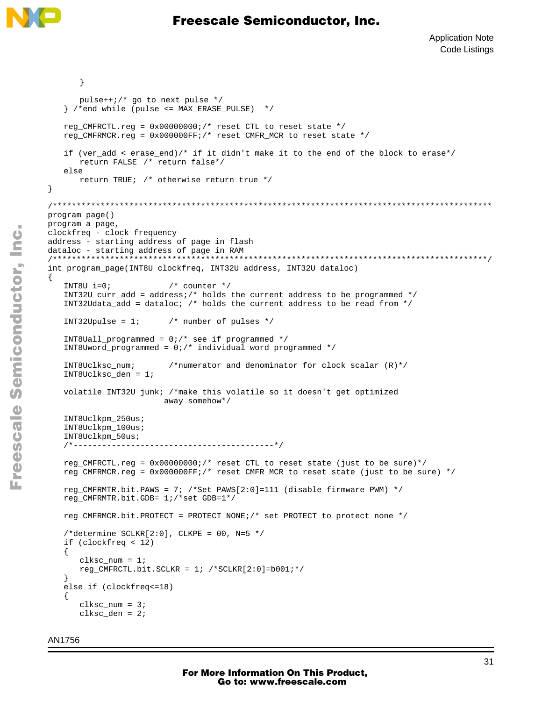

 $\}$ 

 $\{$ 

#### **Freescale Semiconductor, Inc.**

```
\}pulse++;/* go to next pulse */
   \} /*end while (pulse <= MAX_ERASE_PULSE) */
   reg_CMFRCTL.reg = 0x00000000i/* reset CTL to reset state */
   reg_CMFRMCR.reg = 0x000000FF;/* reset CMFR_MCR to reset state */
   if (ver_add < erase_end)/* if it didn't make it to the end of the block to erase*/
     return FALSE /* return false*/
   e] se
     return TRUE; /* otherwise return true */
program_page()
program a page,
clockfreq - clock frequency
address - starting address of page in flash
dataloc - starting address of page in RAM
/**********************
                                          int program_page(INT8U clockfreq, INT32U address, INT32U dataloc)
  INT8U i=0;
                       /* counter */INT32U curr_add = address;/* holds the current address to be programmed */
   INT32Udata add = dataloc; /* holds the current address to be read from */
                      /* number of pulses */
   INT32Upulse = 1;INT8Uall_programmed = 0i/* see if programmed */
   INT8Uword_programmed = 0;/* individual word programmed */
   INT8Uclksc_num;
                      /*numerator and denominator for clock scalar (R)*/
  INT8Uclksc_den = 1;
  volatile INT32U junk; /*make this volatile so it doesn't get optimized
                      away somehow*/
  INT8Uclkpm_250us;
   INT8Uclkpm_100us;
   INT8Uclkpm_50us;
   reg_CMFRCTL.reg = 0x00000000i/* reset CTL to reset state (just to be sure)*/
   reg_CMFRMCR.reg = 0x000000FF;/* reset CMFR_MCR to reset state (just to be sure) */
  reg_CMFRMTR.bit.PAWS = 7; /*Set PAWS[2:0]=111 (disable firmware PWM) */
   reg_CMFRMTR.bit.GDB= 1;/*set GDB=1*/
   reg_CMFRMCR.bit.PROTECT = PROTECT_NONE;/* set PROTECT to protect none */
   /*determine SCLKR[2:0], CLKPE = 00, N=5 */
   if (clockfreq < 12)clksc num = 1;
      reg\_CMFRCTL.bit.SCLKR = 1; /*SCLKR[2:0]=b001;*/
   else if (clockfreq <= 18)
      clksc_name = 3;clksc_den = 2i
```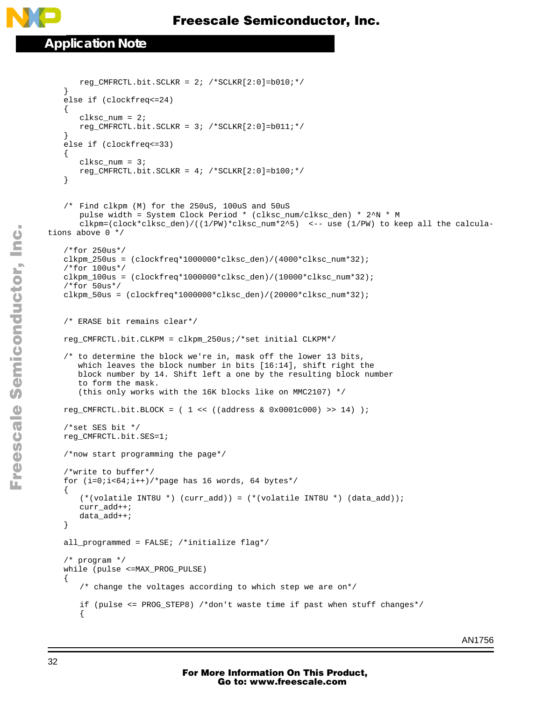

```
Application Note
```

```
reg_CMFRCTL.bit.SCLKR = 2; /*SCLKR[2:0]=b010;*/
   }
   else if (clockfreq<=24)
   \left\{ \right.clksc\_num = 2;reg_CMFRCTL.bit.SCLKR = 3; /*SCLKR[2:0]=b011;*/
   }
   else if (clockfreq<=33)
   \left\{ \right.clksc_name = 3;reg CMFRCTL.bit.SCLKR = 4; /*SCLKR[2:0]=b100;*/
   }
   /* Find clkpm (M) for the 250uS, 100uS and 50uS
      pulse width = System Clock Period * (clksc_num/clksc_den) * 2^N * M
      clkpm=(clock*clksc_den)/((1/PW)*clksc_num*2^5) <-- use (1/PW) to keep all the calcula-
tions above 0 */
   /*for 250us*/
   clkpm_250us = (clockfreq*1000000*clksc\_den)/(4000*clksc\_num*32);/*for 100us*/
   clkpm_100us = (clockfreq*1000000*clksc_den)/(10000*clksc_num*32);/*for 50us*/
   clkpm_50us = (clockfreq*1000000*clksc_den)/(20000*clksc_num*32);
   /* ERASE bit remains clear*/
   reg_CMFRCTL.bit.CLKPM = clkpm_250us;/*set initial CLKPM*/
   /* to determine the block we're in, mask off the lower 13 bits,
       which leaves the block number in bits [16:14], shift right the
       block number by 14. Shift left a one by the resulting block number
       to form the mask.
       (this only works with the 16K blocks like on MMC2107) */
   reg_CMFRCTL.bit.BLOCK = ( 1 << ((address & 0x0001c000) >> 14) );
   /*set SES bit */
   reg_CMFRCTL.bit.SES=1;
   /*now start programming the page*/
   /*write to buffer*/
   for (i=0:i<64:i++)/*page has 16 words, 64 bytes*/
   {
      (*(volatile INT8U *) (curr_add)) = (*(volatile INT8U *) (data_add));
      curr_add++;
      data_add++;
   }
   all programmed = FALSE; /*initialize flag*/
   /* program */
   while (pulse <=MAX_PROG_PULSE)
   {
      /* change the voltages according to which step we are on*/
      if (pulse <= PROG_STEP8) /*don't waste time if past when stuff changes*/
      {
```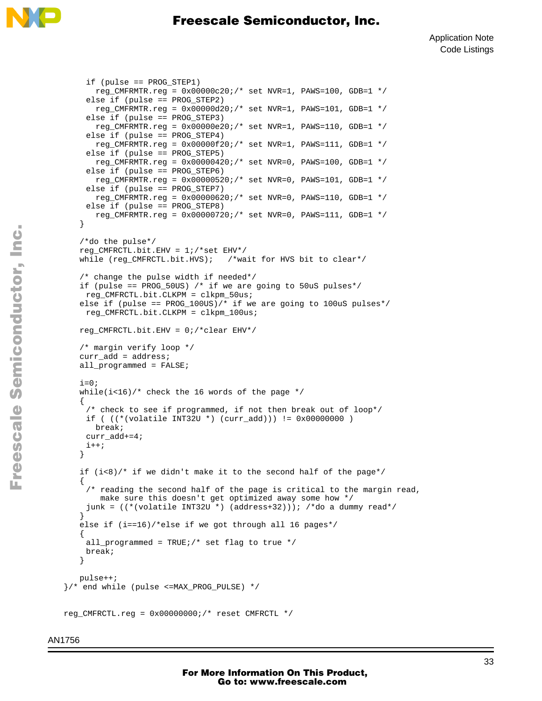

```
if (pulse == PROG_STEP1)
      reg CMFRMTR.reg = 0x00000c20;/* set NVR=1, PAWS=100, GDB=1 */
    else if (pulse == PROG_STEP2)
      reg_CMFRMTR.reg = 0x00000d20;/* set NVR=1, PAWS=101, GDB=1 */
    else if (pulse == PROG_STEP3)
      reg_CMFRMTR.reg = 0x00000e20;/* set NVR=1, PAWS=110, GDB=1 */
    else if (pulse == PROG_STEP4)
      reg_CMFRMTR.reg = 0x00000f20;/* set NVR=1, PAWS=111, GDB=1 */
    else if (pulse == PROG_STEP5)
      reg_CMFRMTR.reg = 0x00000420;/* set NVR=0, PAWS=100, GDB=1 */
    else if (pulse == PROG_STEP6)
      reg_CMFRMTR.reg = 0x00000520;/* set NVR=0, PAWS=101, GDB=1 */
    else if (pulse == PROG_STEP7)
      reg_CMFRMTR.reg = 0x00000620i/* set NVR=0, PAWS=110, GDB=1 */else if (pulse == PROG_STEP8)
      reg_CMFRMTR.reg = 0x00000720;/* set NVR=0, PAWS=111, GDB=1 */
   }
   /*do the pulse*/
   reg CMFRCTL.bit.EHV = 1;/*set EHV*/
   while (reg_CMFRCTL.bit.HVS); /*wait for HVS bit to clear*/
   /* change the pulse width if needed*/
   if (pulse == PROG_50US) /* if we are going to 50uS pulses*/
    reg_CMFRCTL.bit.CLKPM = clkpm_50us;
   else if (pulse == PROG 100US)/* if we are going to 100uS pulses*/
    reg_CMFRCTL.bit.CLKPM = clkpm_100us;
   reg_CMFRCTL.bit.EHV = 0;/*clear EHV*/
   /* margin verify loop */
   curr add = address;
   all_programmed = FALSE;
   i=0;
   while(i<16)/* check the 16 words of the page */
   {
    /* check to see if programmed, if not then break out of loop*/
    if ( ((*(volatile INT32U *) (curr_add))) != 0x00000000 )
      break;
    curr_add+=4;
    i++;}
   if (i<8)/* if we didn't make it to the second half of the page*/
   {
    /* reading the second half of the page is critical to the margin read,
        make sure this doesn't get optimized away some how */
    junk = ((*(volatile INT32U *) (address+32))); /*do a dummy read*/
   }
   else if (i==16)/*else if we got through all 16 pages*/
   {
    all_programmed = TRUE;/* set flag to true */break;
   }
   pulse++;
}/* end while (pulse <=MAX_PROG_PULSE) */
reg_CMFRCTL.reg = 0x00000000;/* reset CMFRCTL */
```
.<br>ق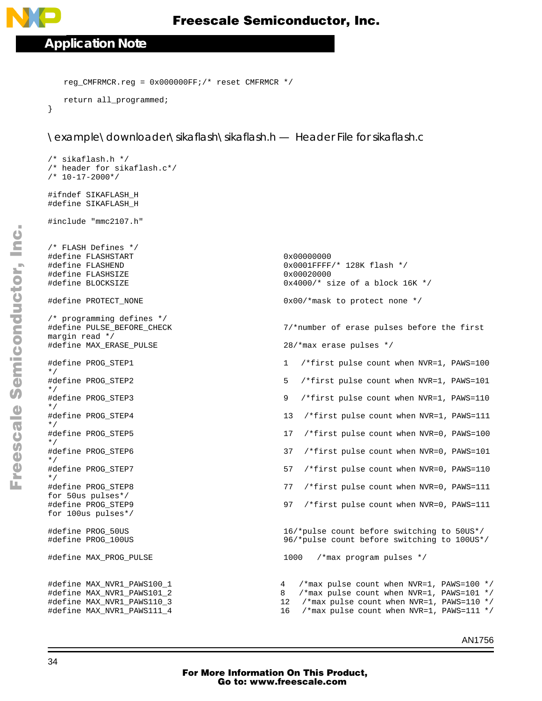

```
Application Note
```

```
reg_CMFRMCR.reg = 0x000000FF;/* reset CMFRMCR */
   return all_programmed;
}
```
*\example\downloader\sikaflash\sikaflash.h — Header File for sikaflash.c*

```
/* sikaflash.h */
/* header for sikaflash.c*/
/* 10-17-2000*/
#ifndef SIKAFLASH_H
#define SIKAFLASH_H
#include "mmc2107.h"
/* FLASH Defines */
#define FLASHSTART 0x00000000
#define FLASHEND 0x0001FFFF/* 128K flash */
#define FLASHSIZE 0x00020000
#define BLOCKSIZE 0x4000/* size of a block 16K */
#define PROTECT_NONE 0x00/* mask to protect none */
/* programming defines */
#define PULSE BEFORE CHECK 7/*number of erase pulses before the first
margin read */
#define MAX_ERASE_PULSE 28/*max erase pulses */
#define PROG_STEP1 1 /*first pulse count when NVR=1, PAWS=100
*/
#define PROG_STEP2 5 /*first pulse count when NVR=1, PAWS=101
*/
#define PROG_STEP3 9 /*first pulse count when NVR=1, PAWS=110
*/
#define PROG_STEP4 13 /*first pulse count when NVR=1, PAWS=111
*/
#define PROG_STEP5 17 /*first pulse count when NVR=0, PAWS=100
*/
#define PROG_STEP6 37 /*first pulse count when NVR=0, PAWS=101
*/
#define PROG_STEP7 57 /*first pulse count when NVR=0, PAWS=110
*/
#define PROG_STEP8 77 /*first pulse count when NVR=0, PAWS=111
for 50us pulses*/
#define PROG_STEP9 97 /*first pulse count when NVR=0, PAWS=111
for 100us pulses*/
#define PROG_50US 16/*pulse count before switching to 50US*/
#define PROG_100US 96/*pulse count before switching to 100US*/
#define MAX_PROG_PULSE 1000 /*max program pulses */
#define MAX_NVR1_PAWS100_1 4 /*max pulse count when NVR=1, PAWS=100 */
#define MAX_NVR1_PAWS101_2 8 /*max pulse count when NVR=1, PAWS=101 */
#define MAX_NVR1_PAWS110_3 12 /*max pulse count when NVR=1, PAWS=110 */
#define MAX_NVR1_PAWS111_4 16 /*max pulse count when NVR=1, PAWS=111 */
```

```
Fr\bf \Phi\bf \Phi\boldsymbol{\eta}\mathbf 0ale
\boldsymbol{g}\bf \Phimic
 o
 n
d
 u
 \mathbf 0t
 o
r, I
 n
 .<br>ق
```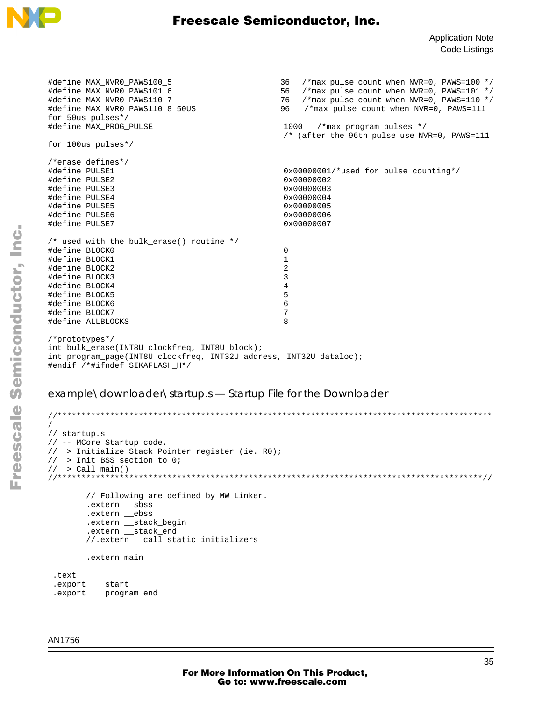

#define MAX\_NVR0\_PAWS100\_5 36 /\*max pulse count when NVR=0, PAWS=100 \*/ #define MAX\_NVR0\_PAWS101\_6 56 /\*max pulse count when NVR=0, PAWS=101 \*/ #define MAX\_NVR0\_PAWS110\_7 76 /\*max pulse count when NVR=0, PAWS=110 \*/ #define MAX\_NVR0\_PAWS110\_8\_50US 96 /\*max pulse count when NVR=0, PAWS=111 for 50us pulses\*/ 1000 /\*max program pulses \*/ /\* (after the 96th pulse use NVR=0, PAWS=111 for 100us pulses\*/ /\*erase defines\*/ #define PULSE1 0x00000001/\*used for pulse counting\*/ #define PULSE2 0x00000002 #define PULSE3 0x00000003 #define PULSE4 0x00000004 #define PULSE5 0x00000005 #define PULSE6 0x00000006 #define PULSE7 0x00000007 /\* used with the bulk\_erase() routine \*/ #define BLOCK0 0 #define BLOCK1 1 #define BLOCK2 2 #define BLOCK3 3 #define BLOCK4 4 #define BLOCK5 5 #define BLOCK6 6 #define BLOCK7 7 #define ALLBLOCKS 8 /\*prototypes\*/ int bulk\_erase(INT8U clockfreq, INT8U block); int program\_page(INT8U clockfreq, INT32U address, INT32U dataloc); #endif /\*#ifndef SIKAFLASH\_H\*/ *example\downloader\startup.s — Startup File for the Downloader* //\*\*\*\*\*\*\*\*\*\*\*\*\*\*\*\*\*\*\*\*\*\*\*\*\*\*\*\*\*\*\*\*\*\*\*\*\*\*\*\*\*\*\*\*\*\*\*\*\*\*\*\*\*\*\*\*\*\*\*\*\*\*\*\*\*\*\*\*\*\*\*\*\*\*\*\*\*\*\*\*\*\*\*\*\*\*\*\*\*\*\* / // startup.s // -- MCore Startup code. // > Initialize Stack Pointer register (ie. R0); // > Init BSS section to 0;  $//$  > Call main() //\*\*\*\*\*\*\*\*\*\*\*\*\*\*\*\*\*\*\*\*\*\*\*\*\*\*\*\*\*\*\*\*\*\*\*\*\*\*\*\*\*\*\*\*\*\*\*\*\*\*\*\*\*\*\*\*\*\*\*\*\*\*\*\*\*\*\*\*\*\*\*\*\*\*\*\*\*\*\*\*\*\*\*\*\*\*\*\*\*// // Following are defined by MW Linker. .extern \_\_sbss .extern ebss .extern \_\_stack\_begin .extern \_\_stack\_end //.extern \_\_call\_static\_initializers .extern main .text .export \_start .export \_program\_end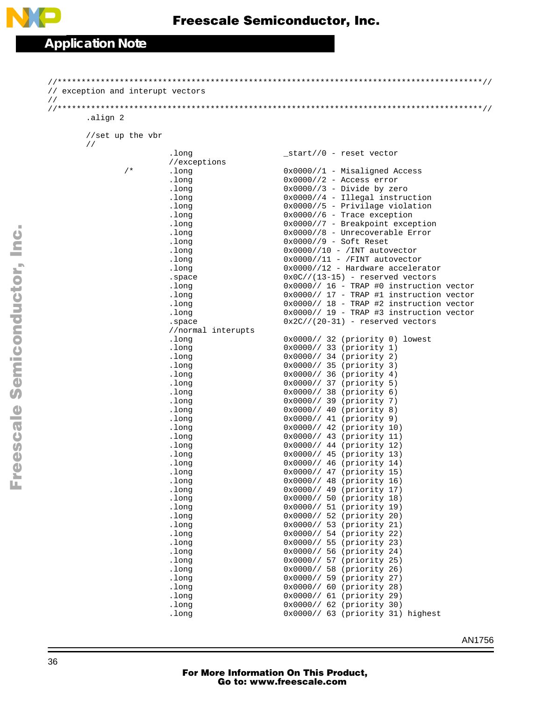

# **Application Note**

| // exception and interupt vectors<br>$\frac{1}{2}$ |                    |                                                                      |  |
|----------------------------------------------------|--------------------|----------------------------------------------------------------------|--|
|                                                    |                    |                                                                      |  |
| .align 2                                           |                    |                                                                      |  |
| //set up the vbr                                   |                    |                                                                      |  |
| $\frac{1}{2}$                                      |                    |                                                                      |  |
|                                                    | .long              | $\:$ start//0 - reset vector                                         |  |
|                                                    | //exceptions       |                                                                      |  |
| $/$ *                                              | .long              | $0x0000//1 - Misaligned Access$                                      |  |
|                                                    | .long              | $0x0000//2 - Access error$                                           |  |
|                                                    | .long              | $0x0000//3 - Divide by zero$                                         |  |
|                                                    | .long<br>.long     | 0x0000//4 - Illegal instruction<br>$0x0000//5$ - Privilage violation |  |
|                                                    | .long              | $0x0000//6$ - Trace exception                                        |  |
|                                                    | .long              | 0x0000//7 - Breakpoint exception                                     |  |
|                                                    | .long              | $0x0000//8 - Unrecoverable Error$                                    |  |
|                                                    | .long              | $0x0000//9 - Soft Rest$                                              |  |
|                                                    | .long              | $0x0000//10 - /INT$ autovector                                       |  |
|                                                    | .long              | $0x0000 // 11 - / FINT$ autovector                                   |  |
|                                                    | .long              | $0x0000//12$ - Hardware accelerator                                  |  |
|                                                    | .space             | $0x0C///(13-15)$ - reserved vectors                                  |  |
|                                                    | .long              | $0x0000// 16 - TRAP #0 instruction vector$                           |  |
|                                                    | .long              | $0x0000// 17 - TRAP #1 instruction vector$                           |  |
|                                                    | .long              | $0x0000$ / $/$ 18 - TRAP #2 instruction vector                       |  |
|                                                    | .long              | $0x0000// 19 - TRAP$ #3 instruction vector                           |  |
|                                                    | .space             | $0x2C//(20-31)$ - reserved vectors                                   |  |
|                                                    | //normal interupts |                                                                      |  |
|                                                    | .long              | 0x0000// 32 (priority 0) lowest                                      |  |
|                                                    | .long              | 0x0000// 33 (priority 1)                                             |  |
|                                                    | .long              | 0x0000// 34 (priority 2)                                             |  |
|                                                    | .long              | 0x0000// 35 (priority 3)                                             |  |
|                                                    | .long              | 0x0000// 36 (priority 4)                                             |  |
|                                                    | .long              | 0x0000// 37 (priority 5)                                             |  |
|                                                    | .long              | 0x0000// 38 (priority 6)                                             |  |
|                                                    | .long              | 0x0000// 39 (priority 7)                                             |  |
|                                                    | .long              | 0x0000// 40 (priority 8)                                             |  |
|                                                    | .long              | 0x0000// 41 (priority 9)                                             |  |
|                                                    | .long              | 0x0000// 42 (priority 10)                                            |  |
|                                                    | .long              | 0x0000// 43 (priority 11)<br>0x0000// 44 (priority 12)               |  |
|                                                    | .long<br>.long     | 0x0000// 45 (priority 13)                                            |  |
|                                                    | .long              | 0x0000// 46 (priority 14)                                            |  |
|                                                    | .long              | 0x0000// 47 (priority 15)                                            |  |
|                                                    | .long              | 0x0000// 48 (priority 16)                                            |  |
|                                                    | .long              | 0x0000// 49 (priority 17)                                            |  |
|                                                    | .long              | 0x0000// 50 (priority 18)                                            |  |
|                                                    | .long              | 0x0000// 51 (priority 19)                                            |  |
|                                                    | .long              | 0x0000// 52 (priority 20)                                            |  |
|                                                    | .long              | 0x0000// 53 (priority 21)                                            |  |
|                                                    | .long              | 0x0000// 54 (priority 22)                                            |  |
|                                                    | .long              | 0x0000// 55 (priority 23)                                            |  |
|                                                    | .long              | 0x0000// 56 (priority 24)                                            |  |
|                                                    | .long              | 0x0000// 57 (priority 25)                                            |  |
|                                                    | .long              | 0x0000// 58 (priority 26)                                            |  |
|                                                    | .long              | 0x0000// 59 (priority 27)                                            |  |
|                                                    | .long              | 0x0000// 60 (priority 28)                                            |  |
|                                                    | .long              | 0x0000// 61 (priority 29)                                            |  |
|                                                    | .long              | 0x0000// 62 (priority 30)                                            |  |
|                                                    | .long              | 0x0000// 63 (priority 31) highest                                    |  |

AN1756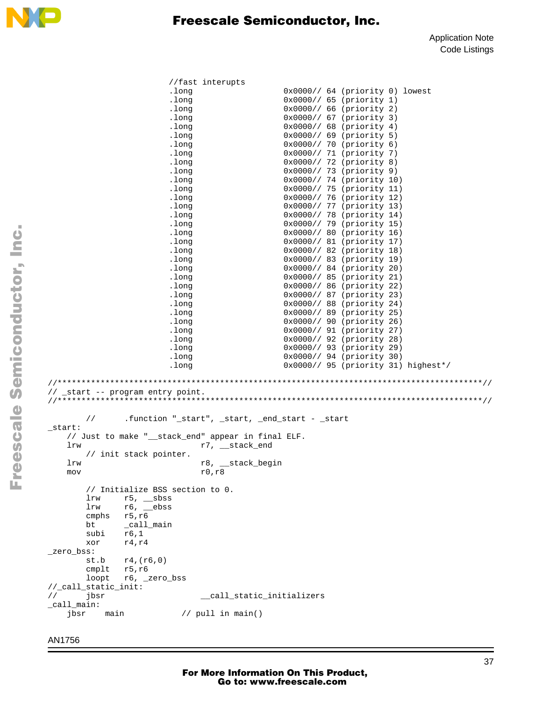

Application Note Code Listings

```
//fast interupts
                    .long 0x0000// 64 (priority 0) lowest
                    .long 0x0000// 65 (priority 1)
                    .long 0x0000// 66 (priority 2)
                    .long 0x0000// 67 (priority 3)<br>.long 0x0000// 68 (priority 4)
                                       0x0000// 68 (priority 4)
                    .long 0x0000// 69 (priority 5)
                    .long 0x0000// 70 (priority 6)
                    .long 0x0000// 71 (priority 7)
                    .long 0x0000// 72 (priority 8)
                    .long 0x0000// 73 (priority 9)
                    .long 0x0000// 74 (priority 10)
                    .long 0x0000// 75 (priority 11)
                    .long 0x0000// 76 (priority 12)
                    .long 0x0000// 77 (priority 13)
                    .long 0x0000// 78 (priority 14)
                    .long 0x0000// 79 (priority 15)
                    .long 0x0000// 80 (priority 16)
                    .long 0x0000// 81 (priority 17)
                    .long 0x0000// 82 (priority 18)
                    .long 0x0000// 83 (priority 19)<br>0x0000// 84 (priority 20)
                                       0x0000// 84 (priority 20)
                    .long 0x0000// 85 (priority 21)<br>.long 0x0000// 86 (priority 22)
                                       0x0000// 86 (priority 22)
                    .long 0x0000// 87 (priority 23)
                    .long 0x0000// 88 (priority 24)
                    .long 0x0000// 89 (priority 25)
                    .long 0x0000// 90 (priority 26)
                    .long 0x0000// 91 (priority 27)
                    .long 0x0000// 92 (priority 28)
                    .long 0x0000// 93 (priority 29)
                    .long 0x0000// 94 (priority 30)
                    .long 0x0000// 95 (priority 31) highest*/
//*****************************************************************************************//
// _start -- program entry point.<br>//********************************
                           //*****************************************************************************************//
      // .function "_start", _start, _end_start - _start
_start:
    // Just to make "__stack_end" appear in final ELF.
   lrw r7, __stack_end
      // init stack pointer.
   lrw r8, stack_begin
   mov r0, r8
      // Initialize BSS section to 0.
      lrw r5, __sbss
      lrw r6, __ebss
      cmphs r5,r6
      bt _call_main
      subi r6,1
      xor r4,r4
_zero_bss:
      st.b r4,(r6,0)
      cmplt r5,r6
      loopt r6, _zero_bss
//_call_static_init:
// ibsr ibsr call static initializers
_call_main:
    jbsr main // pull in main()
```

```
AN1756
```
.<br>ق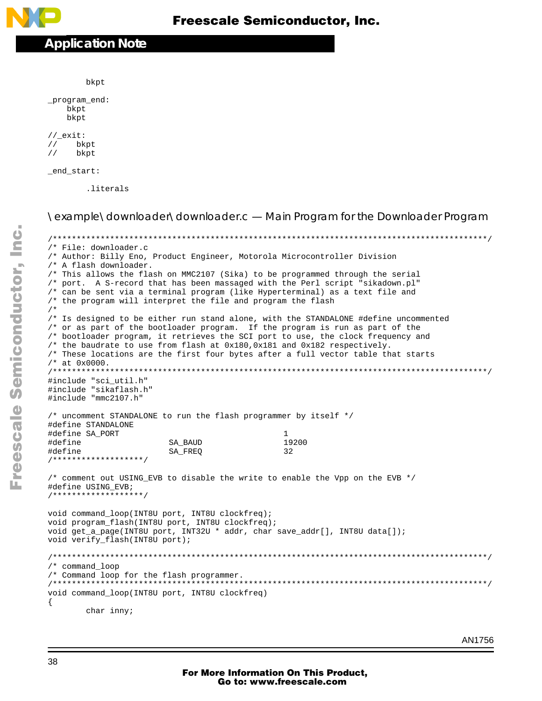

bkpt

\_program\_end: bkpt bkpt

 $//$ \_exit:  $11$ bkpt  $\frac{1}{2}$ bkpt end start: .literals \example\downloader\downloader.c — Main Program for the Downloader Program /\*\*\*\*\*\*\*\*\*\*\*\*\*\*\*\*\*\*\*\*\* /\* File: downloader.c /\* Author: Billy Eno, Product Engineer, Motorola Microcontroller Division /\* A flash downloader. /\* This allows the flash on MMC2107 (Sika) to be programmed through the serial /\* port. A S-record that has been massaged with the Perl script "sikadown.pl" /\* can be sent via a terminal program (like Hyperterminal) as a text file and /\* the program will interpret the file and program the flash  $/$ \* /\* Is designed to be either run stand alone, with the STANDALONE #define uncommented /\* or as part of the bootloader program. If the program is run as part of the /\* bootloader program, it retrieves the SCI port to use, the clock frequency and /\* the baudrate to use from flash at 0x180,0x181 and 0x182 respectively. /\* These locations are the first four bytes after a full vector table that starts  $/*$  at  $0x0000$ . #include "sci\_util.h" #include "sikaflash.h" #include "mmc2107.h" /\* uncomment STANDALONE to run the flash programmer by itself \*/ #define STANDALONE #define SA\_PORT  $\mathbf{1}$ 19200 #define SA\_BAUD #define SA\_FREQ 32 /\*\*\*\*\*\*\*\*\*\*\*\*\*\*\*\*\*\*\*/ /\* comment out USING\_EVB to disable the write to enable the Vpp on the EVB \*/ #define USING EVB;  $7$ \*\*\*\*\*\*\*\*\*\*\*\*\*\*\*\*\*\*\*\*/ void command\_loop(INT8U port, INT8U clockfreq); void program\_flash(INT8U port, INT8U clockfreq); void get\_a\_page(INT8U port, INT32U \* addr, char save\_addr[], INT8U data[]); void verify\_flash(INT8U port); /\* command loop /\* Command loop for the flash programmer. void command\_loop(INT8U port, INT8U clockfreq) { char inny;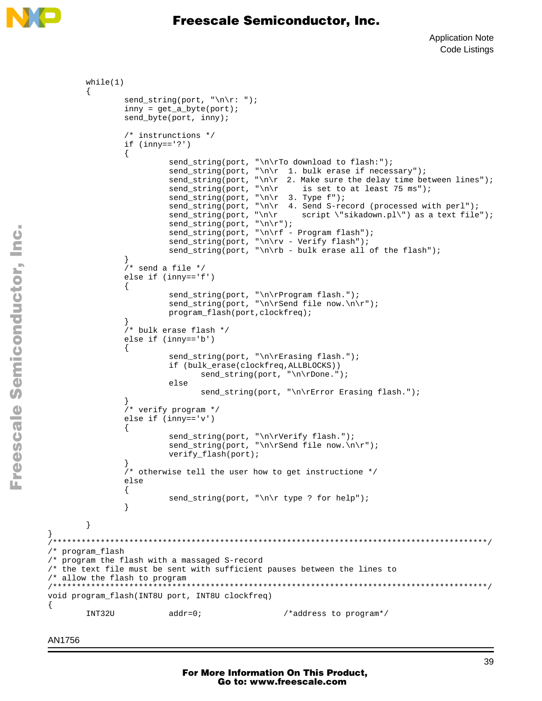

```
while(1)
         {
                 send_string(port, "\n\r: ");
                 inv = get_a_byte(port);send_byte(port, inny);
                 /* instrunctions */
                 if (\text{inny}=='?')
                 {
                           send_string(port, "\n\rTo download to flash:");
                           send_string(port, "\sqrt{n} 1. bulk erase if necessary");
                           send_string(port, "\n\r 2. Make sure the delay time between lines");<br>send_string(port, "\n\r is set to at least 75 ms");
                                                          is set to at least 75 ms");
                           send_string(port, "\n\r );
                           send_string(port, "\n\r 4. Send S-record (processed with perl");<br>send_string(port, "\n\r script \"sikadown.pl\") as a text file
                                                          script \"sikadown.pl\") as a text file");
                           send_string(port, "\n\r\r\r\verb|send_string(port, "\\n\\rf - Program flash");send_string(port, "\n\rv - Verify flash");
                           send_string(port, "\n\rb - bulk erase all of the flash");
                 }
                 /* send a file */
                 else if (inny=='f')
                 {
                            send_string(port, "\n\rProgram flash.");
                            send_string(port, "\n\rSend file now.\n\r");
                           program_flash(port,clockfreq);
                 }
                 /* bulk erase flash */
                 else if (inny=='b')
                 {
                           send_string(port, "\n\rErasing flash.");
                           if (bulk_erase(clockfreq,ALLBLOCKS))
                                   send_string(port, "\n\rDone.");
                           else
                                   send_string(port, "\n\rError Erasing flash.");
                 }
                 /* verify program */
                 else if (inny=='v')
                 {
                           send_string(port, "\n\rVerify flash.");
                           send_string(port, "\n\rSend file now.\n\r");
                           verify_flash(port);
                 }
                 /* otherwise tell the user how to get instructione */
                 else
                 {
                           send_string(port, "\n\r type ? for help");
                 }
        }
/*******************************************************************************************/
/* program_flash
/* program the flash with a massaged S-record
/* the text file must be sent with sufficient pauses between the lines to
/* allow the flash to program
/*******************************************************************************************/
void program_flash(INT8U port, INT8U clockfreq)
        INT32U addr=0; /*address to program*/
```

```
F\mathbf  \Phi\bf \Phi\boldsymbol{\theta}\mathbf 0ale
\boldsymbol{g}\bf \Phimic
 o
 n
d
 u
 \mathbf 0t
 o
r, I
 n
 .<br>ق
```
}

{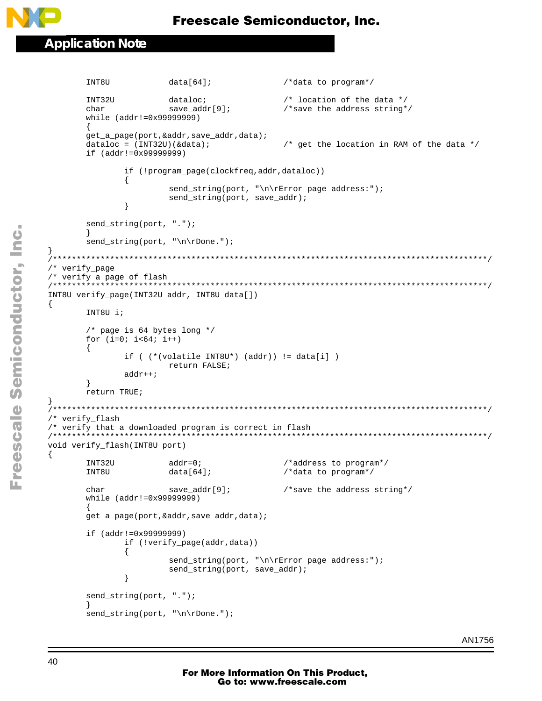#### **Application Note**

```
TNT8U
                    data[64];
                                        /*data to program*/
      INT32U
                    dataloc;
                                         /* location of the data */
      char
                    save_addr[9];
                                         /*save the address string*/
      while (addr != 0x99999999)get_a_page(port, &addr, save_addr, data);
      dataloc = (INT32U)(\&data);/* get the location in RAM of the data */
      if (addr != 0x99999999)if (!program_page(clockfreq,addr,dataloc))
                    send_string(port, "\n\rError page address:");
                    send_string(port, save_addr);
             ł
      send_string(port, ".");
      send_string(port, "\n\rDone.");
          /**********
/* verify_page
/* verify a page of flash
INT8U verify_page(INT32U addr, INT8U data[])
      INT8U i;
      /* page is 64 bytes long */
      for (i=0; i<64; i++)if ((* (volutile INT8U*) (addr)) := data[i] )return FALSE;
             addr++\}return TRUE;
    ***********
                /* verify_flash
/* verify that a downloaded program is correct in flash
7***void verify_flash(INT8U port)
      INT32U
                    addr = 0;/*address to program*/
                    data[64];
      INT8U
                                        /*data to program*/
                    save\_addr[9];char
                                        /*save the address string*/
      while (addr != 0x99999999)get_a_page(port, &addr, save_addr, data);
      if (addr != 0x99999999)if (!verify_page(addr,data))
             \{send_string(port, "\n\rError page address:");
                    send_string(port, save_addr);
             \}send string(port, ", ");
      \}send\_string(port, "\\n\\rDone.");
```
ł

 $\left\{ \right.$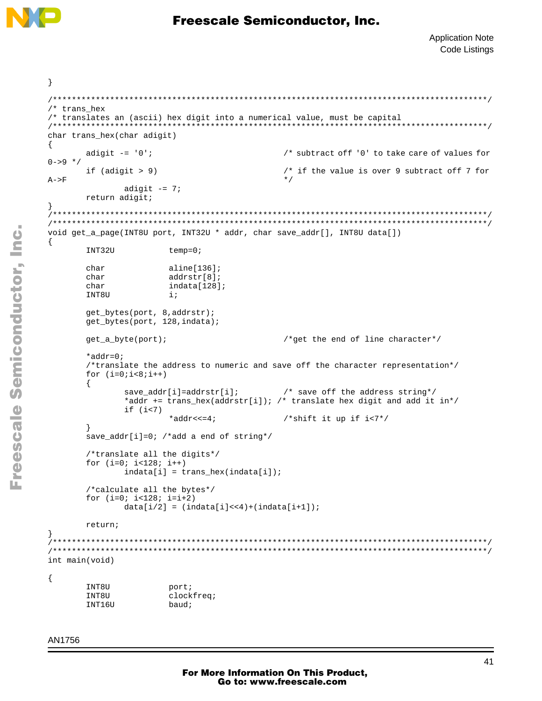

```
\}/* trans_hex
/* translates an (ascii) hex digit into a numerical value, must be capital
char trans_hex(char adigit)
₹
                                  /* subtract off '0' to take care of values for
     adigit -= '0';
0 - 9 * 7/* if the value is over 9 subtract off 7 for
     if (adigit > 9)\star /
A->Fadigit - = 7;
     return adigit;
void get_a_page(INT8U port, INT32U * addr, char save_addr[], INT8U data[])
\left\{ \right.INT32U
                 temp=0;char
                 aline[136];
                 addrstr[8];char
     char
                 indata[128];
     INT8U
                 \pm :
     get_bytes(port, 8,addrstr);<br>get_bytes(port, 128,indata);
     get_a_byte(port);
                                   /*get the end of line character*/
     *addr=0;/*translate the address to numeric and save off the character representation*/
     for (i=0; i<8; i++)\left\{ \right.save\_addr[i]=addrstr[i];/* save off the address string*/
           *addr += trans_hex(addrstr[i]); /* translate hex digit and add it in*/
           if (i<7)*addr<<=4;
                                  /*shift it up if i < 7*/\}save_addr[i]=0; /*add a end of string*/
     /*translate all the digits*/
     for (i=0; i<128; i++)indata[i] = trans\_hex(indata[i]);/*calculate all the bytes*/
     for (i=0; i<128; i=i+2)data[i/2] = (indata[i]<1] + (indata[i+1]);
     return;
  int main(void)
\{INT8U
                 port;
     INT8U
                 clockfreq;
     INT16U
                 baud;
```
#### AN1756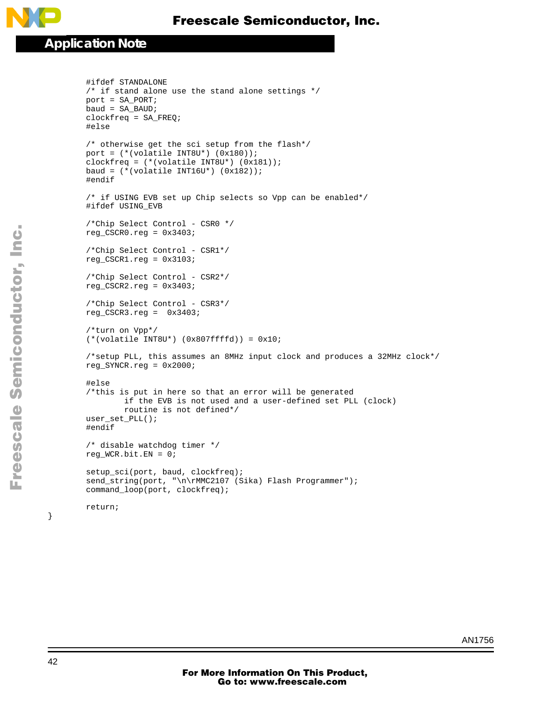

```
#ifdef STANDALONE
/* if stand alone use the stand alone settings */port = SA_PORT;
baud = SA_BAUD;clockfreq = SA_FREQ;
#else
/* otherwise get the sci setup from the flash*/
port = (* (volation) (0x180));
clockfreq = (*(volatile INT8U*) (0x181));
baud = (*(volatile INT16U*) (0x182));
#endif
/* if USING EVB set up Chip selects so Vpp can be enabled*/
#ifdef USING_EVB
/*Chip Select Control - CSR0 */
reg_CSCR0.reg = 0x3403;
/*Chip Select Control - CSR1*/
reg_CSCR1.reg = 0x3103;
/*Chip Select Control - CSR2*/
reg_CSCR2.reg = 0x3403;
/*Chip Select Control - CSR3*/
reg_CSCR3.reg = 0x3403;/*turn on Vpp*/
(*(volatile INT8U*) (0x807ffffd)) = 0x10;
/*setup PLL, this assumes an 8MHz input clock and produces a 32MHz clock*/
reg\_SYNCR.read = 0x2000;#else
/*this is put in here so that an error will be generated
        if the EVB is not used and a user-defined set PLL (clock)
        routine is not defined*/
user_set_PLL();
#endif
/* disable watchdog timer */
reg_WCR.bit.EN = 0;
setup_sci(port, baud, clockfreq);
send_string(port, "\n\rMMC2107 (Sika) Flash Programmer");
command_loop(port, clockfreq);
return;
```
}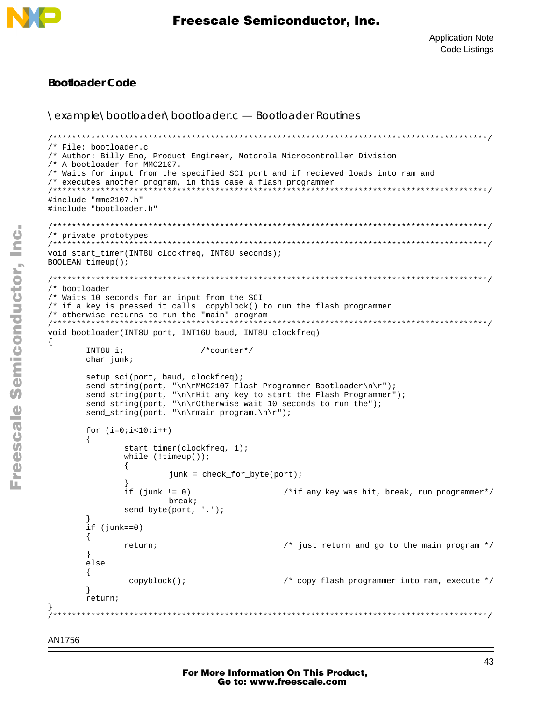

Semiconductor, Inc.

 $\mathbf{d}$ 

**IPSSES** 

#### **Freescale Semiconductor, Inc.**

#### **Bootloader Code**

```
\example\bootloader\bootloader.c - Bootloader Routines
/* File: bootloader.c
/* Author: Billy Eno, Product Engineer, Motorola Microcontroller Division
/* A bootloader for MMC2107.
/* Waits for input from the specified SCI port and if recieved loads into ram and
/* executes another program, in this case a flash programmer
#include "mmc2107.h"
#include "bootloader.h"
/* private prototypes
void start_timer(INT8U clockfreq, INT8U seconds);
BOOLEAN timeup();
/* bootloader
/* Waits 10 seconds for an input from the SCI
/* if a key is pressed it calls _copyblock() to run the flash programmer
/* otherwise returns to run the "main" program
void bootloader(INT8U port, INT16U baud, INT8U clockfreq)
\{INT8U i;
                     /*counter*/
     char junk;
     setup_sci(port, baud, clockfreq);
     send string(port, "\n\rMMC2107 Flash Programmer Bootloader\n\r");
     send_string(port, "\n\rHit any key to start the Flash Programmer");
     send_string(port, "\n\r0therwise wait 10 seconds to run the");
     send\_string(port, "\\n\text{ in program.}\n'\)for (i=0; i<10; i++)\left\{ \right.start_timer(clockfreq, 1);
           while (!timeup());
           €
                 junk = check_for_byte(port);
           if (junk != 0)/*if any key was hit, break, run programmer*/
                 break;
           send_byte(port, '.');
     if (junk==0)\{return;
                                 /* just return and go to the main program */
     \}else
     \{_{\rm \_copyblock()};
                                 /* copy flash programmer into ram, execute */
     \}return;
```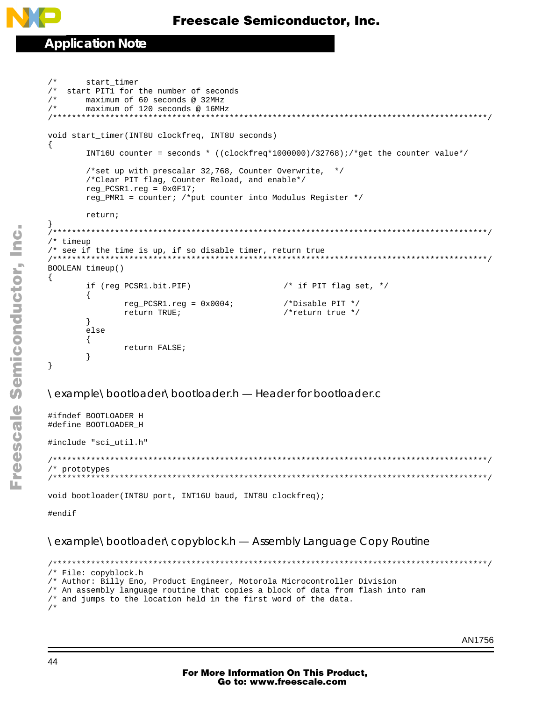```
Freescale Semiconductor, Inc.
```

```
/*
    start_timer
/* start PIT1 for the number of seconds
/*
    maximum of 60 seconds @ 32MHz
/*
     maximum of 120 seconds @ 16MHz
void start_timer(INT8U clockfreq, INT8U seconds)
ſ
     INT16U counter = seconds * ((clockfreq*1000000)/32768)/*get the counter value*/
     /*set up with prescalar 32,768, Counter Overwrite, */
     /*Clear PIT flag, Counter Reload, and enable*/
     reg_PCSR1.read = 0x0F17;reg_PMR1 = counter; /*put counter into Modulus Register */
     return;
\left\{ \right\}/* timeup
/* see if the time is up, if so disable timer, return true
  7 * *BOOLEAN timeup()
\{if (reg_PCSR1.bit.PIF)
                                 /* if PIT flag set, */\{req PCSR1.read = 0x0004;/*Disable PIT */
          return TRUE;
                                 /*return true */
     \}e<sup>1 se</sub></sup>
     \{return FALSE;
     \}\}\example\bootloader\bootloader.h - Header for bootloader.c
#ifndef BOOTLOADER H
#define BOOTLOADER H
#include "sci_util.h"
/* prototypes
void bootloader(INT8U port, INT16U baud, INT8U clockfreq);
#endif
\example\bootloader\copyblock.h - Assembly Language Copy Routine
```
/\* File: copyblock.h /\* Author: Billy Eno, Product Engineer, Motorola Microcontroller Division /\* An assembly language routine that copies a block of data from flash into ram /\* and jumps to the location held in the first word of the data.  $/$ \*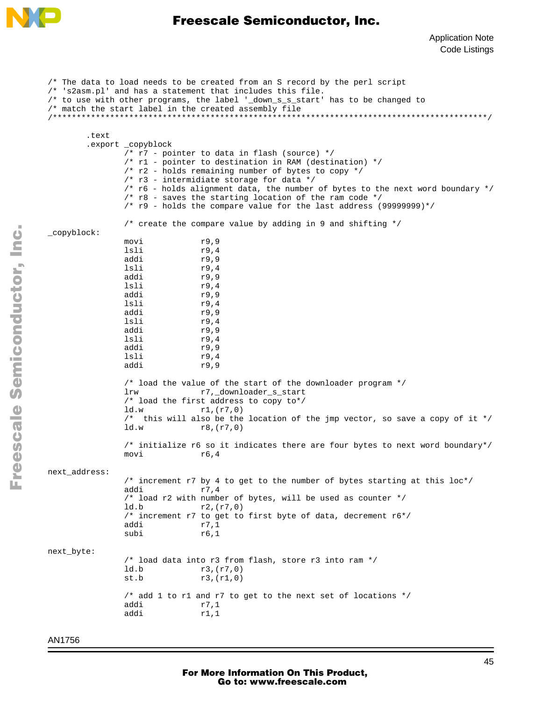

| /* The data to load needs to be created from an S record by the perl script<br>/* 's2asm.pl' and has a statement that includes this file.<br>/* to use with other programs, the label '_down_s_s_start' has to be changed to<br>/* match the start label in the created assembly file |                                                                                                                                                     |                                                                                                                                                                                                                                                                                                                                                                                                                                                                  |  |
|---------------------------------------------------------------------------------------------------------------------------------------------------------------------------------------------------------------------------------------------------------------------------------------|-----------------------------------------------------------------------------------------------------------------------------------------------------|------------------------------------------------------------------------------------------------------------------------------------------------------------------------------------------------------------------------------------------------------------------------------------------------------------------------------------------------------------------------------------------------------------------------------------------------------------------|--|
| .text                                                                                                                                                                                                                                                                                 | .export _copyblock                                                                                                                                  | /* $r7$ - pointer to data in flash (source) */<br>/* r1 - pointer to destination in RAM (destination) */<br>/* r2 - holds remaining number of bytes to copy $*/$<br>$/* r3 - intermiddle storage for data */$<br>/* r6 - holds alignment data, the number of bytes to the next word boundary */<br>/* $r8$ - saves the starting location of the ram code */<br>/* r9 - holds the compare value for the last address $(99999999)^*/$                              |  |
| _copyblock:                                                                                                                                                                                                                                                                           |                                                                                                                                                     | /* create the compare value by adding in 9 and shifting $*/$                                                                                                                                                                                                                                                                                                                                                                                                     |  |
|                                                                                                                                                                                                                                                                                       | movi<br>lsli<br>addi<br>lsli<br>addi<br>lsli<br>addi<br>lsli<br>addi<br>lsli<br>addi<br>lsli<br>addi<br>lsli<br>addi<br>lrw<br>ld.w<br>ld.w<br>movi | r9,9<br>r9,4<br>r9,9<br>r9,4<br>r9,9<br>r9,4<br>r9,9<br>r9,4<br>r9,9<br>r9,4<br>r9,9<br>r9,4<br>r9,9<br>r9,4<br>r9,9<br>/* load the value of the start of the downloader program */<br>r7,_downloader_s_start<br>/* load the first address to copy to*/<br>r1, (r7, 0)<br>/* this will also be the location of the jmp vector, so save a copy of it $*/$<br>r8, (r7, 0)<br>/* initialize r6 so it indicates there are four bytes to next word boundary*/<br>r6,4 |  |
| next_address:                                                                                                                                                                                                                                                                         | addi<br>ld.b<br>addi                                                                                                                                | /* increment r7 by 4 to get to the number of bytes starting at this loc*/<br>r7,4<br>/* load r2 with number of bytes, will be used as counter */<br>r2, (r7, 0)<br>/* increment r7 to get to first byte of data, decrement r6*/<br>r7,1                                                                                                                                                                                                                          |  |
|                                                                                                                                                                                                                                                                                       | subi                                                                                                                                                | r6,1                                                                                                                                                                                                                                                                                                                                                                                                                                                             |  |
| next_byte:                                                                                                                                                                                                                                                                            | ld.b<br>st.b                                                                                                                                        | /* load data into r3 from flash, store r3 into ram */<br>r3, (r7, 0)<br>r3, (r1, 0)                                                                                                                                                                                                                                                                                                                                                                              |  |
|                                                                                                                                                                                                                                                                                       | addi<br>addi                                                                                                                                        | /* add 1 to r1 and r7 to get to the next set of locations */<br>r7,1<br>r1,1                                                                                                                                                                                                                                                                                                                                                                                     |  |

F

AN1756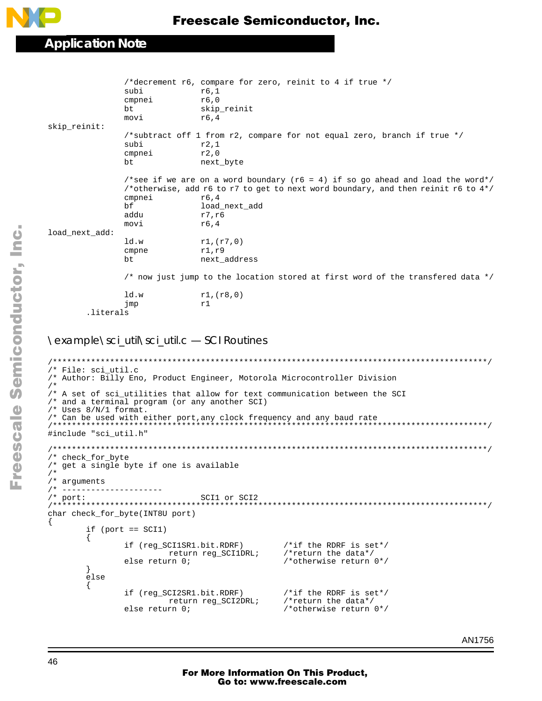

**Application Note** 

```
/*decrement r6, compare for zero, reinit to 4 if true */
              suhi
                             r6,1cmpnei
                             r6,0bt
                             skip_reinit
                             r6, 4m \sim iskip_reinit:
              /*subtract off 1 from r2, compare for not equal zero, branch if true */
              subi
                             r2,1cmpnei
                             r2,0bt.
                             next_byte
              /*see if we are on a word boundary (r6 = 4) if so go ahead and load the word*/
              /*otherwise, add r6 to r7 to get to next word boundary, and then reinit r6 to 4*/cmpnei
                            r6.4bf
                             load_next_add
              addu
                             r7, r6movi
                             r6,4load_next_add:
              M \cdot 6r1, (r7, 0)r1.r9cmpne
              bt
                             next_address
              /* now just jump to the location stored at first word of the transfered data */
              w. b [
                             r1, (r8, 0)r1jmp
       .literals
\example\sci_util\sci_util.c — SCI Routines
/* File: sci_util.c
/* Author: Billy Eno, Product Engineer, Motorola Microcontroller Division
/*
/* A set of sci_utilities that allow for text communication between the SCI
/* and a terminal program (or any another SCI)
/* Uses 8/N/1 format.
/* Can be used with either port, any clock frequency and any baud rate
/**********************
                                                                ***********************
#include "sci_util.h"
/* check_for_byte
/* get a single byte if one is available
/*
/* arguments
.<br>/*   ----------------------
/* port:
                             SCI1 or SCI2
7*******************************
                                           char check_for_byte(INT8U port)
₹
       if (port == SCI1)\{if (reg_SCI1SR1.bit.RDRF)
                                            /*if the RDRF is set*/
                      return reg_SCI1DRL;
                                             /*return the data*/
              else return 0;
                                             /*otherwise return 0*/
       \}élse\mathcal{L}_{\mathcal{A}}if (reg_SCI2SR1.bit.RDRF)
                                             /*if the RDRF is set*/
                      return reg_SCI2DRL;
                                            /*return_the_data*/
                                             /*otherwise return 0*/
              else return 0;
```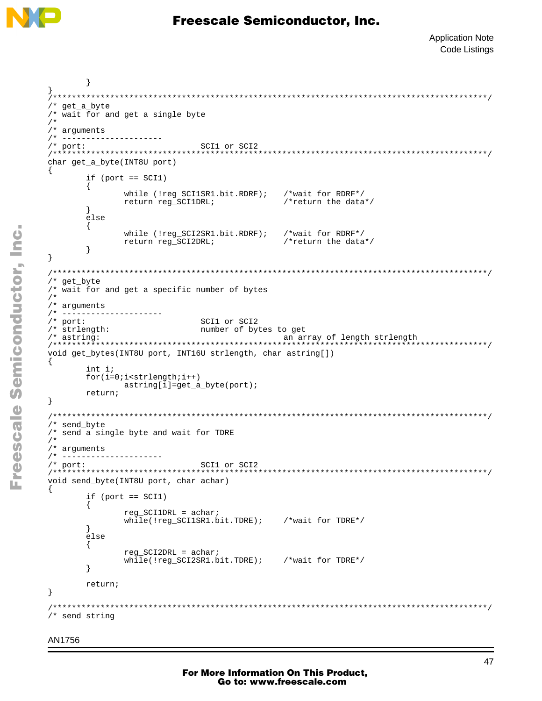

```
\}/* get_a_byte
/* wait for and get a single byte
/*
/* arguments
/* ---------------------
/* port:
                    SCI1 or SCI2
char get_a_byte(INT8U port)
₹
     if (port == SCI1)\{while (!reg_SCI1SR1.bit.RDRF); /*wait for RDRF*/
                               /*return the data*/
          return reg_SCI1DRL;
     \}e]se
     \left\{ \right.while (!reg_SCI2SR1.bit.RDRF);
                               /*wait for RDRF*/
                               /*return the data*/
          return reg_SCI2DRL;
     \}\}/* get_byte
/* wait for and get a specific number of bytes
/ *
/* arguments
/* ---------------------
/* port:
                    SCI1 or SCI2
/* strlength:
                    number of bytes to get
/* astring:
                               an array of length strlength
void get_bytes(INT8U port, INT16U strlength, char astring[])
\left\{ \right.int ifor(i=0:i<br>strlength;i++)astring[i]=get_a_byte(port);
     return;
\}/* send_byte
/* send a single byte and wait for TDRE
/ *
/\star arguments
/*
 _______________________
/* port:
                    SCI1 or SCI2
void send_byte(INT8U port, char achar)
     if (port == SCI1)\{req\_SCI1DRL = acharwhile(!reg_SCI1SR1.bit.TDRE); /*wait for TDRE*/
     \}else
     \{reg\_SCI2DRL = \text{achar};
          while(!reg_SCI2SR1.bit.TDRE); /*wait for TDRE*/
     \}return;
\}/* send_string
```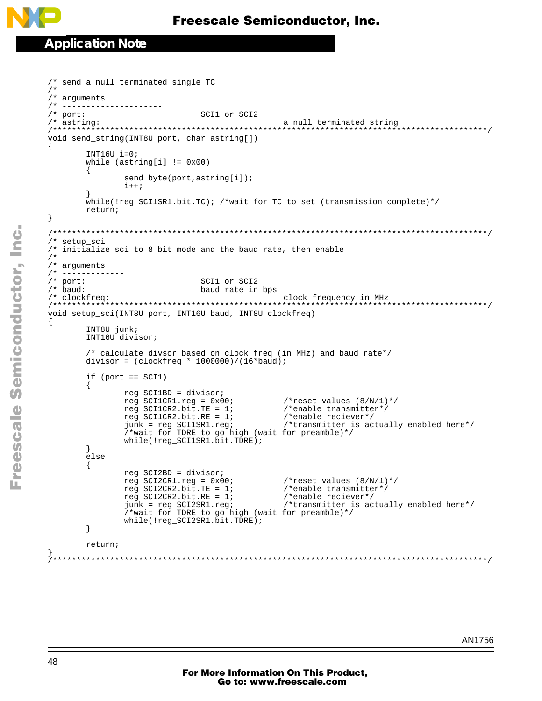

```
/* send a null terminated single TC
/ \star/* arguments
/* ---------------------
                          SCI1 or SCI2
/* port:
/* astring:
                                       a null terminated string
void send_string(INT8U port, char astring[])
\{INT16U i=0;while (astring[i] != 0x00)\{send_byte(port,astring[i]);
             i++\mathcal{E}while(!reg_SCI1SR1.bit.TC); /*wait for TC to set (transmission complete)*/
      return;
\}/\star setup_sci
/* initialize sci to 8 bit mode and the baud rate, then enable
/*
/* arguments
7* -------------
/* port:
                          SCI1 or SCI2
/* baud:
                          baud rate in bps
/* clockfreq:
                                        clock frequency in MHz
void setup_sci(INT8U port, INT16U baud, INT8U clockfreq)
€
      INT8U junk;
      INT16U divisor;
      /* calculate divsor based on clock freq (in MHz) and baud rate*/
      divisor = (clockfreq * 1000000)/ (16 *baud);if (port == SCI1)\{reg\_SCI1BD = divisorreg\_SCI1CR1.read = 0x00i/*reset values (8/N/1)*/reg\_SCI1CR2.bit.TE = 1;/*enable transmitter*/
             reg\_SCI1CR2.bit.RE = 1;/*enable reciever*/
             junk = req_SCI1SR1.read;/*transmitter is actually enabled here*/
             /*wait for TDRE to go high (wait for preamble)*/
             while(!reg_SCI1SR1.bit.TDRE);
      ł
      else
      \left\{ \right.reg\_SCI2BD = divisorreg\_SCI2CR1.reg = 0x00;/*reset values (8/N/1)*/reg\_SCI2CR2.b1t.TE = 17/*enable transmitter*/
                                        /*enable reciever*/
             reg\_SCI2CR2.bit.RE = 1;junk = reg_SCI2SR1.reg;/*transmitter is actually enabled here*/
             /*wait for TDRE to go high (wait for preamble)*/
             while(!reg_SCI2SR1.bit.TDRE);
      \}return;
```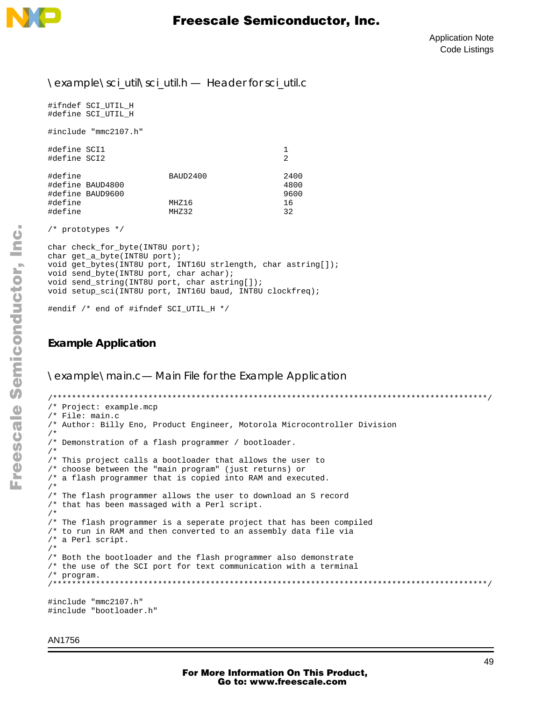

*\example\sci\_util\sci\_util.h — Header for sci\_util.c*

#ifndef SCI\_UTIL\_H #define SCI\_UTIL\_H

#include "mmc2107.h"

#define SCI1 1 #define SCI2 2

|                  | BAUD2400 | 2400 |
|------------------|----------|------|
| #define BAUD4800 |          | 4800 |
| #define BAUD9600 |          | 9600 |
|                  | MHZ16    | 16   |
|                  | MH 7.32  | 32   |
|                  |          |      |

/\* prototypes \*/

```
char check_for_byte(INT8U port);
char get_a_byte(INT8U port);
void get_bytes(INT8U port, INT16U strlength, char astring[]);
void send_byte(INT8U port, char achar);
void send_string(INT8U port, char astring[]);
void setup_sci(INT8U port, INT16U baud, INT8U clockfreq);
```

```
#endif /* end of #ifndef SCI_UTIL_H */
```
#### **Example Application**

*\example\main.c— Main File for the Example Application*

```
/*******************************************************************************************/
/* Project: example.mcp
/* File: main.c
/* Author: Billy Eno, Product Engineer, Motorola Microcontroller Division
/*
/* Demonstration of a flash programmer / bootloader.
/*
/* This project calls a bootloader that allows the user to
/* choose between the "main program" (just returns) or
/* a flash programmer that is copied into RAM and executed.
/*
/* The flash programmer allows the user to download an S record
/* that has been massaged with a Perl script.
/*
/* The flash programmer is a seperate project that has been compiled
/* to run in RAM and then converted to an assembly data file via
/* a Perl script.
/*
/* Both the bootloader and the flash programmer also demonstrate
/* the use of the SCI port for text communication with a terminal
/* program.
/*******************************************************************************************/
#include "mmc2107.h"
#include "bootloader.h"
```
#### AN1756

.<br>ق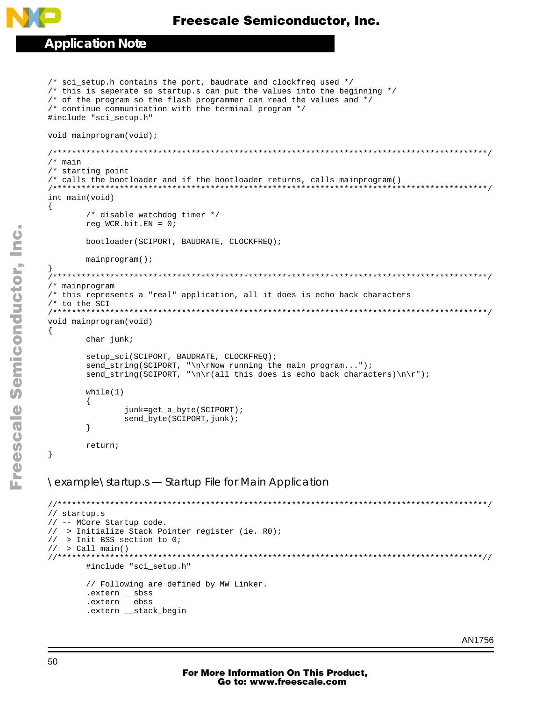

```
Application Note
```

```
/* sci_setup.h contains the port, baudrate and clockfreq used */
/* this is seperate so startup.s can put the values into the beginning */
/* of the program so the flash programmer can read the values and *//* continue communication with the terminal program */
#include "sci_setup.h"
void mainprogram(void);
/\star main
/* starting point
/* calls the bootloader and if the bootloader returns, calls mainprogram()
****************/
int main(void)
\left\{ \right./* disable watchdog timer */
     reg_WCR.bit.FN = 0;bootloader(SCIPORT, BAUDRATE, CLOCKFREQ);
     main program()/* mainprogram
/* this represents a "real" application, all it does is echo back characters
/* to the SCI
void mainprogram(void)
₹
     char junk;
     setup sci(SCIPORT, BAUDRATE, CLOCKFREO);
     send_string(SCIPORT, "\n\rNow running the main program...");
     send_string(SCIPORT, "\n\r(all this does is echo back characters)\n\r");
     while(1)\left\{ \right.junk=get_a_byte(SCIPORT);
           send_byte(SCIPORT, junk);
     \}return;
\}\example\startup.s - Startup File for Main Application
// startup.s
// -- MCore Startup code.
// > Initialize Stack Pointer register (ie. RO);
// > Init BSS section to 0;
// > Call main()
#include "sci_setup.h"
     // Following are defined by MW Linker.
     .extern __sbss
     .extern __ebss
     .extern __stack_begin
```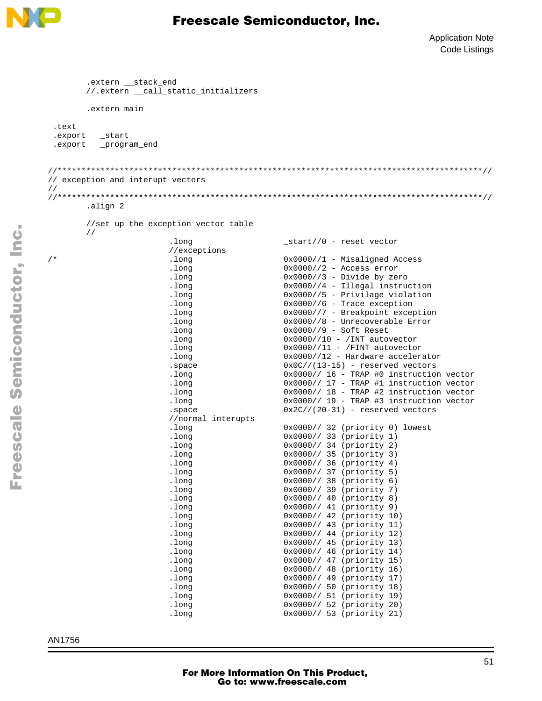

```
.extern __stack_end
      //.extern __call_static_initializers
      .extern main
 .text
.export _start
 .export _program_end
//*****************************************************************************************//
// exception and interupt vectors
//
//*****************************************************************************************//
      .align 2
      //set up the exception vector table
      //
                    .long _start//0 - reset vector
                   //exceptions
% /* .long .long 0x0000//1 - Misaligned Access<br>
.long 0x0000//2 - Access error
                                      0x0000//2 - Access error
                    .long 0x0000//3 - Divide by zero
                    .long 0x0000//4 - Illegal instruction
                    .long 0x0000//5 - Privilage violation
                    .long 0x0000//6 - Trace exception
                    .long 0x0000//7 - Breakpoint exception
                    .long 0x0000//8 - Unrecoverable Error
                    .long 0x0000//9 - Soft Reset
                    .long 0x0000//10 - /INT autovector
                    .long 0x0000//11 - /FINITE autovector
                    .long 0x0000//12 - Hardware accelerator
                    .space 0x0C//(13-15) - reserved vectors
                    .long 0x0000// 16 - TRAP #0 instruction vector
                    .long 0x0000// 17 - TRAP #1 instruction vector
                    .long 0x0000// 18 - TRAP #2 instruction vector
                    .long 0x0000// 19 - TRAP  #3 instruction vector.space 0x2C//(20-31) - reserved vectors
                   //normal interupts
                    .long 0x0000// 32 (priority 0) lowest
                    .long 0x0000// 33 (priority 1)
                    .long 0x0000// 34 (priority 2)
                    .long 0x0000// 35 (priority 3)<br>.long 0x0000// 36 (priority 4)
                    .long 0x0000// 36 (priority 4)<br>.long 0x0000// 37 (priority 5)
                    .long 0x0000// 37 (priority 5)
                    .long 0x0000// 38 (priority 6)
                    .long 0x0000// 39 (priority 7)
                    .long 0x0000// 40 (priority 8)
                    .long 0x0000// 41 (priority 9)
                    .long 0x0000// 42 (priority 10)<br>0x0000// 43 (priority 11)
                                      0x0000// 43 (priority 11)
                    .long 0x0000// 44 (priority 12)
                    .long 0x0000// 45 (priority 13)
                    .long 0x0000// 46 (priority 14)
                    .long 0x0000// 47 (priority 15)
                    .long 0x0000// 48 (priority 16)
                    .long 0x0000// 49 (priority 17)
                    .long 0x0000// 50 (priority 18)
                    .long 0x0000// 51 (priority 19)
                    .long 0x0000// 52 (priority 20)
                    .long 0x0000// 53 (priority 21)
```
AN1756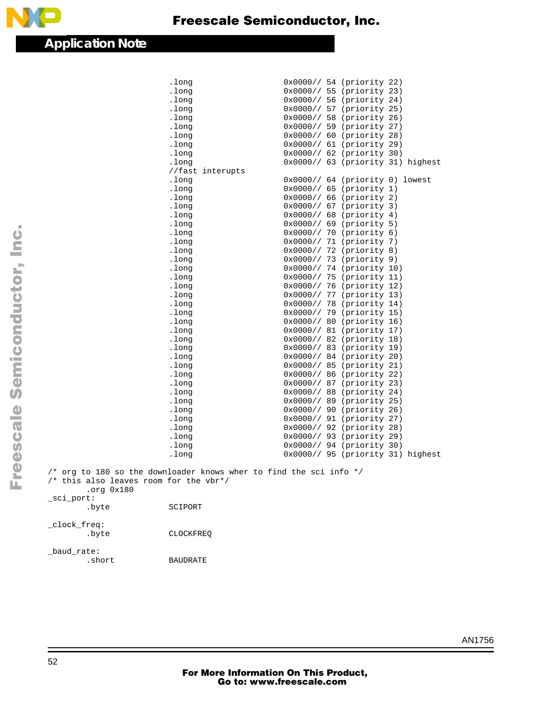

|                                        | .long            | 0x0000// 54 (priority 22)                                          |
|----------------------------------------|------------------|--------------------------------------------------------------------|
|                                        | .long            | 0x0000// 55 (priority 23)                                          |
|                                        | .long            | 0x0000// 56 (priority 24)                                          |
|                                        | .long            | 0x0000// 57 (priority 25)                                          |
|                                        | .long            | 0x0000// 58 (priority 26)                                          |
|                                        | .long            | 0x0000// 59 (priority 27)                                          |
|                                        | .long            | 0x0000// 60 (priority 28)                                          |
|                                        | .long            | 0x0000// 61 (priority 29)                                          |
|                                        | .long            | 0x0000// 62 (priority 30)                                          |
|                                        | .long            | 0x0000// 63 (priority 31) highest                                  |
|                                        | //fast interupts |                                                                    |
|                                        | .long            | 0x0000// 64 (priority 0) lowest                                    |
|                                        | .long            | 0x0000// 65 (priority 1)                                           |
|                                        | .long            | 0x0000// 66 (priority 2)                                           |
|                                        | .long            | 0x0000// 67 (priority 3)                                           |
|                                        | .long            | 0x0000// 68 (priority 4)                                           |
|                                        | .long<br>.long   | 0x0000// 69 (priority 5)<br>0x0000// 70 (priority 6)               |
|                                        | .long            | 0x0000// 71 (priority 7)                                           |
|                                        | .long            | 0x0000// 72 (priority 8)                                           |
|                                        | .long            | 0x0000// 73 (priority 9)                                           |
|                                        | .long            | 0x0000// 74 (priority 10)                                          |
|                                        | .long            | 0x0000// 75 (priority 11)                                          |
|                                        | .long            | 0x0000// 76 (priority 12)                                          |
|                                        | .long            | 0x0000// 77 (priority 13)                                          |
|                                        | .long            | 0x0000// 78 (priority 14)                                          |
|                                        | .long            | 0x0000// 79 (priority 15)                                          |
|                                        | .long            | 0x0000// 80 (priority 16)                                          |
|                                        | .long            | 0x0000// 81 (priority 17)                                          |
|                                        | .long            | 0x0000// 82 (priority 18)                                          |
|                                        | .long            | 0x0000// 83 (priority 19)                                          |
|                                        | .long            | 0x0000// 84 (priority 20)                                          |
|                                        | .long            | 0x0000// 85 (priority 21)                                          |
|                                        | .long            | 0x0000// 86 (priority 22)                                          |
|                                        | .long            | 0x0000// 87 (priority 23)                                          |
|                                        | .long            | 0x0000// 88 (priority 24)                                          |
|                                        | .long<br>.long   | 0x0000// 89 (priority 25)<br>0x0000// 90 (priority 26)             |
|                                        | .long            | 0x0000// 91 (priority 27)                                          |
|                                        | .long            | 0x0000// 92 (priority 28)                                          |
|                                        | .long            | 0x0000// 93 (priority 29)                                          |
|                                        | .long            | 0x0000// 94 (priority 30)                                          |
|                                        | .long            | 0x0000// 95 (priority 31) highest                                  |
|                                        |                  |                                                                    |
|                                        |                  | /* org to 180 so the downloader knows wher to find the sci info */ |
| /* this also leaves room for the vbr*/ |                  |                                                                    |
| .org 0x180<br>_sci_port:               |                  |                                                                    |
| .byte                                  | SCIPORT          |                                                                    |
|                                        |                  |                                                                    |
| _clock_freq:                           |                  |                                                                    |
| .byte                                  | CLOCKFREQ        |                                                                    |
| baud rate:                             |                  |                                                                    |
| .short                                 | <b>BAUDRATE</b>  |                                                                    |
|                                        |                  |                                                                    |

F

AN1756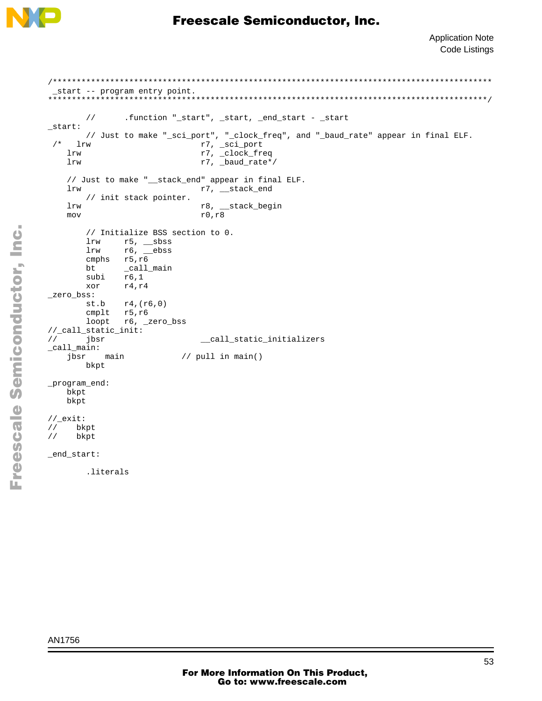

```
/********************************************************************************************
  _start -- program entry point.
********************************************************************************************/
      // .function "_start", _start, _end_start - _start
_start:
       // Just to make "_sci_port", "_clock_freq", and "_baud_rate" appear in final ELF.
 /* lrw r7, sci_port
lrw r7, _clock_freq
lrw r7, \text{baud\_rate*} // Just to make "__stack_end" appear in final ELF.
   lrw r7, __stack_end
       // init stack pointer.
   lrw r8, stack_begin
   mov r0,r8
       // Initialize BSS section to 0.
       lrw r5, __sbss
      lrw r6, ebss
      cmphs r5,r6
      bt _call_main
      subi r6,1<br>xor r4, r4
            r4, r4_zero_bss:
      st.b r4,(r6,0)
       cmplt r5,r6
       loopt r6, _zero_bss
//_call_static_init:
// jbsr ____________________call_static_initializers
_call_main:
    jbsr main // pull in main()
      bkpt
_program_end:
    bkpt
    bkpt
//_exist:// bkpt<br>// bkpt
    bkpt
_end_start:
       .literals
```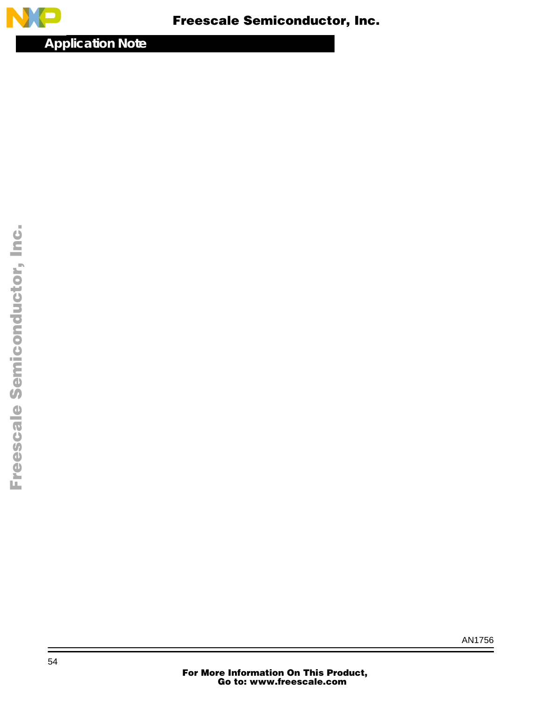

**Application Note**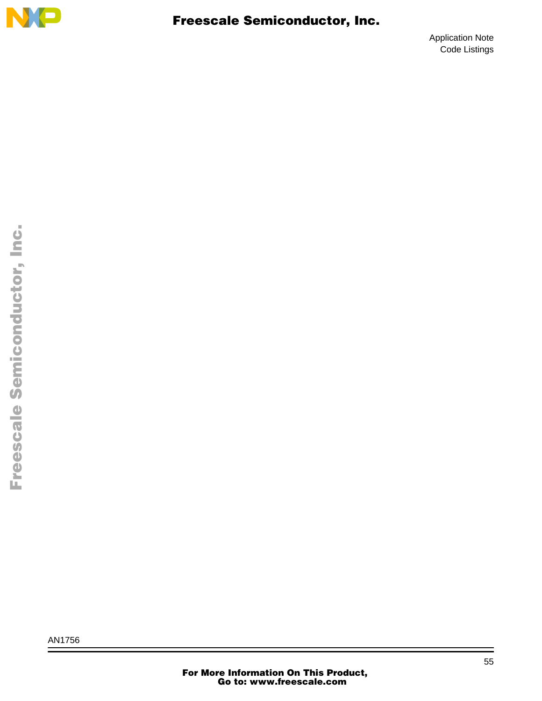

Application Note Code Listings